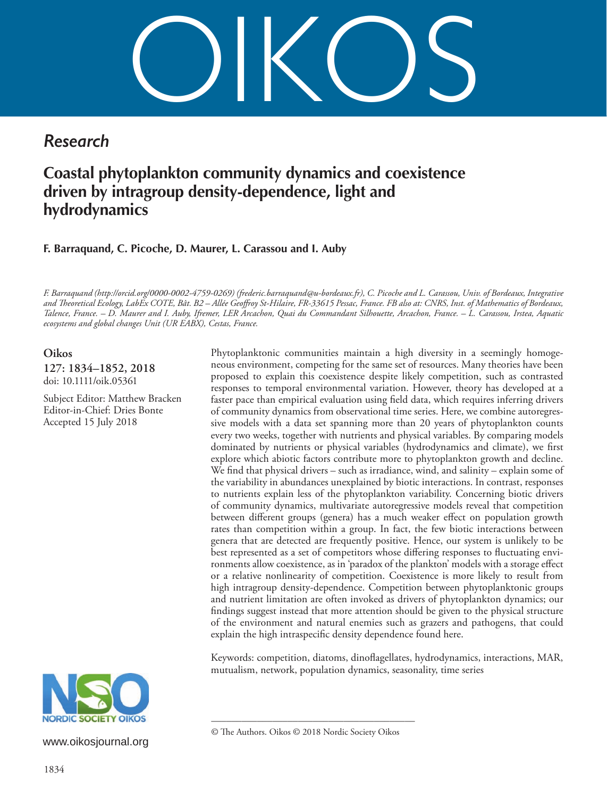OIKOS

*Research*

# **Coastal phytoplankton community dynamics and coexistence driven by intragroup density-dependence, light and hydrodynamics**

**F. Barraquand, C. Picoche, D. Maurer, L. Carassou and I. Auby**

*F. Barraquand (http://orcid.org/0000-0002-4759-0269) (frederic.barraquand@u-bordeaux.fr), C. Picoche and L. Carassou, Univ. of Bordeaux, Integrative and Theoretical Ecology, LabEx COTE, Bât. B2 – Allée Geoffroy St-Hilaire, FR-33615 Pessac, France. FB also at: CNRS, Inst. of Mathematics of Bordeaux, Talence, France. – D. Maurer and I. Auby, Ifremer, LER Arcachon, Quai du Commandant Silhouette, Arcachon, France. – L. Carassou, Irstea, Aquatic ecosystems and global changes Unit (UR EABX), Cestas, France.*

**Oikos 127: 1834–1852, 2018** doi: 10.1111/oik.05361

Subject Editor: Matthew Bracken Editor-in-Chief: Dries Bonte Accepted 15 July 2018

Phytoplanktonic communities maintain a high diversity in a seemingly homogeneous environment, competing for the same set of resources. Many theories have been proposed to explain this coexistence despite likely competition, such as contrasted responses to temporal environmental variation. However, theory has developed at a faster pace than empirical evaluation using field data, which requires inferring drivers of community dynamics from observational time series. Here, we combine autoregressive models with a data set spanning more than 20 years of phytoplankton counts every two weeks, together with nutrients and physical variables. By comparing models dominated by nutrients or physical variables (hydrodynamics and climate), we first explore which abiotic factors contribute more to phytoplankton growth and decline. We find that physical drivers – such as irradiance, wind, and salinity – explain some of the variability in abundances unexplained by biotic interactions. In contrast, responses to nutrients explain less of the phytoplankton variability. Concerning biotic drivers of community dynamics, multivariate autoregressive models reveal that competition between different groups (genera) has a much weaker effect on population growth rates than competition within a group. In fact, the few biotic interactions between genera that are detected are frequently positive. Hence, our system is unlikely to be best represented as a set of competitors whose differing responses to fluctuating environments allow coexistence, as in 'paradox of the plankton' models with a storage effect or a relative nonlinearity of competition. Coexistence is more likely to result from high intragroup density-dependence. Competition between phytoplanktonic groups and nutrient limitation are often invoked as drivers of phytoplankton dynamics; our findings suggest instead that more attention should be given to the physical structure of the environment and natural enemies such as grazers and pathogens, that could explain the high intraspecific density dependence found here.

Keywords: competition, diatoms, dinoflagellates, hydrodynamics, interactions, MAR, mutualism, network, population dynamics, seasonality, time series



www.oikosjournal.org

–––––––––––––––––––––––––––––––––––––––– © The Authors. Oikos © 2018 Nordic Society Oikos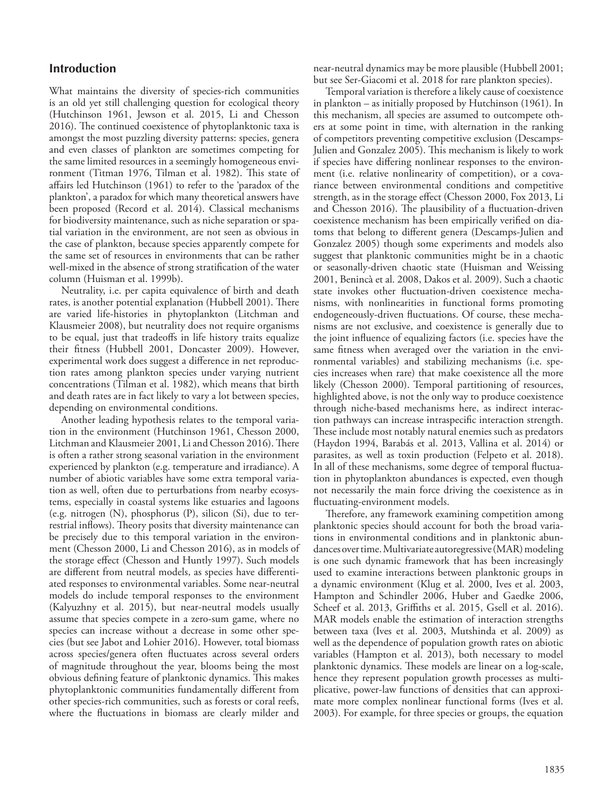# **Introduction**

What maintains the diversity of species-rich communities is an old yet still challenging question for ecological theory (Hutchinson 1961, Jewson et al. 2015, Li and Chesson 2016). The continued coexistence of phytoplanktonic taxa is amongst the most puzzling diversity patterns: species, genera and even classes of plankton are sometimes competing for the same limited resources in a seemingly homogeneous environment (Titman 1976, Tilman et al. 1982). This state of affairs led Hutchinson (1961) to refer to the 'paradox of the plankton', a paradox for which many theoretical answers have been proposed (Record et al. 2014). Classical mechanisms for biodiversity maintenance, such as niche separation or spatial variation in the environment, are not seen as obvious in the case of plankton, because species apparently compete for the same set of resources in environments that can be rather well-mixed in the absence of strong stratification of the water column (Huisman et al. 1999b).

Neutrality, i.e. per capita equivalence of birth and death rates, is another potential explanation (Hubbell 2001). There are varied life-histories in phytoplankton (Litchman and Klausmeier 2008), but neutrality does not require organisms to be equal, just that tradeoffs in life history traits equalize their fitness (Hubbell 2001, Doncaster 2009). However, experimental work does suggest a difference in net reproduction rates among plankton species under varying nutrient concentrations (Tilman et al. 1982), which means that birth and death rates are in fact likely to vary a lot between species, depending on environmental conditions.

Another leading hypothesis relates to the temporal variation in the environment (Hutchinson 1961, Chesson 2000, Litchman and Klausmeier 2001, Li and Chesson 2016). There is often a rather strong seasonal variation in the environment experienced by plankton (e.g. temperature and irradiance). A number of abiotic variables have some extra temporal variation as well, often due to perturbations from nearby ecosystems, especially in coastal systems like estuaries and lagoons (e.g. nitrogen (N), phosphorus (P), silicon (Si), due to terrestrial inflows). Theory posits that diversity maintenance can be precisely due to this temporal variation in the environment (Chesson 2000, Li and Chesson 2016), as in models of the storage effect (Chesson and Huntly 1997). Such models are different from neutral models, as species have differentiated responses to environmental variables. Some near-neutral models do include temporal responses to the environment (Kalyuzhny et al. 2015), but near-neutral models usually assume that species compete in a zero-sum game, where no species can increase without a decrease in some other species (but see Jabot and Lohier 2016). However, total biomass across species/genera often fluctuates across several orders of magnitude throughout the year, blooms being the most obvious defining feature of planktonic dynamics. This makes phytoplanktonic communities fundamentally different from other species-rich communities, such as forests or coral reefs, where the fluctuations in biomass are clearly milder and

near-neutral dynamics may be more plausible (Hubbell 2001; but see Ser-Giacomi et al. 2018 for rare plankton species).

Temporal variation is therefore a likely cause of coexistence in plankton – as initially proposed by Hutchinson (1961). In this mechanism, all species are assumed to outcompete others at some point in time, with alternation in the ranking of competitors preventing competitive exclusion (Descamps-Julien and Gonzalez 2005). This mechanism is likely to work if species have differing nonlinear responses to the environment (i.e. relative nonlinearity of competition), or a covariance between environmental conditions and competitive strength, as in the storage effect (Chesson 2000, Fox 2013, Li and Chesson 2016). The plausibility of a fluctuation-driven coexistence mechanism has been empirically verified on diatoms that belong to different genera (Descamps-Julien and Gonzalez 2005) though some experiments and models also suggest that planktonic communities might be in a chaotic or seasonally-driven chaotic state (Huisman and Weissing 2001, Benincà et al. 2008, Dakos et al. 2009). Such a chaotic state invokes other fluctuation-driven coexistence mechanisms, with nonlinearities in functional forms promoting endogeneously-driven fluctuations. Of course, these mechanisms are not exclusive, and coexistence is generally due to the joint influence of equalizing factors (i.e. species have the same fitness when averaged over the variation in the environmental variables) and stabilizing mechanisms (i.e. species increases when rare) that make coexistence all the more likely (Chesson 2000). Temporal partitioning of resources, highlighted above, is not the only way to produce coexistence through niche-based mechanisms here, as indirect interaction pathways can increase intraspecific interaction strength. These include most notably natural enemies such as predators (Haydon 1994, Barabás et al. 2013, Vallina et al. 2014) or parasites, as well as toxin production (Felpeto et al. 2018). In all of these mechanisms, some degree of temporal fluctuation in phytoplankton abundances is expected, even though not necessarily the main force driving the coexistence as in fluctuating-environment models.

Therefore, any framework examining competition among planktonic species should account for both the broad variations in environmental conditions and in planktonic abundances over time. Multivariate autoregressive (MAR) modeling is one such dynamic framework that has been increasingly used to examine interactions between planktonic groups in a dynamic environment (Klug et al. 2000, Ives et al. 2003, Hampton and Schindler 2006, Huber and Gaedke 2006, Scheef et al. 2013, Griffiths et al. 2015, Gsell et al. 2016). MAR models enable the estimation of interaction strengths between taxa (Ives et al. 2003, Mutshinda et al. 2009) as well as the dependence of population growth rates on abiotic variables (Hampton et al. 2013), both necessary to model planktonic dynamics. These models are linear on a log-scale, hence they represent population growth processes as multiplicative, power-law functions of densities that can approximate more complex nonlinear functional forms (Ives et al. 2003). For example, for three species or groups, the equation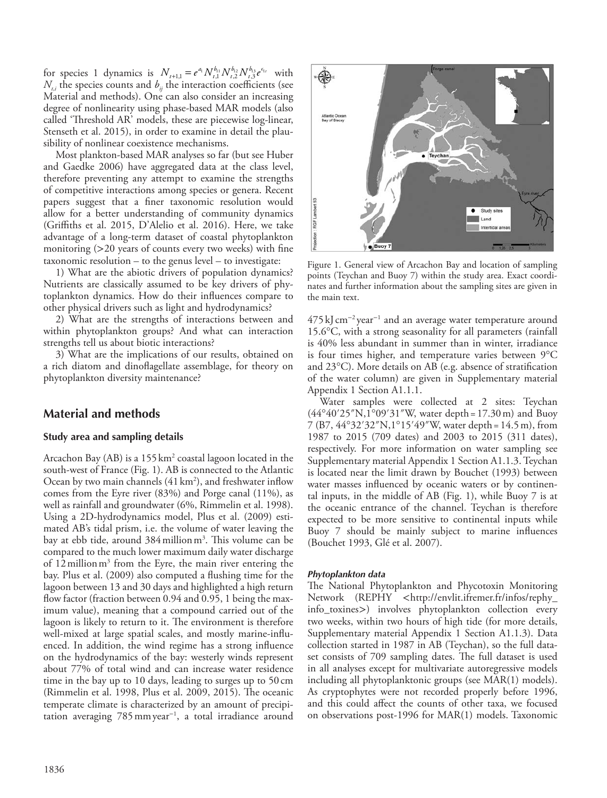for species 1 dynamics is  $N_{t+1,1} = e^{a_1} N_{t,1}^{b_{1,1}} N_{t,2}^{b_{1,2}} N_{t,3}^{b_{1,3}} e^{c_{1t}}$  with  $N_{t,i}$  the species counts and  $b_{ij}$  the interaction coefficients (see Material and methods). One can also consider an increasing degree of nonlinearity using phase-based MAR models (also called 'Threshold AR' models, these are piecewise log-linear, Stenseth et al. 2015), in order to examine in detail the plausibility of nonlinear coexistence mechanisms.

Most plankton-based MAR analyses so far (but see Huber and Gaedke 2006) have aggregated data at the class level, therefore preventing any attempt to examine the strengths of competitive interactions among species or genera. Recent papers suggest that a finer taxonomic resolution would allow for a better understanding of community dynamics (Griffiths et al. 2015, D'Alelio et al. 2016). Here, we take advantage of a long-term dataset of coastal phytoplankton monitoring (>20 years of counts every two weeks) with fine taxonomic resolution – to the genus level – to investigate:

1) What are the abiotic drivers of population dynamics? Nutrients are classically assumed to be key drivers of phytoplankton dynamics. How do their influences compare to other physical drivers such as light and hydrodynamics?

2) What are the strengths of interactions between and within phytoplankton groups? And what can interaction strengths tell us about biotic interactions?

3) What are the implications of our results, obtained on a rich diatom and dinoflagellate assemblage, for theory on phytoplankton diversity maintenance?

# **Material and methods**

## **Study area and sampling details**

Arcachon Bay (AB) is a 155 km<sup>2</sup> coastal lagoon located in the south-west of France (Fig. 1). AB is connected to the Atlantic Ocean by two main channels  $(41 \text{ km}^2)$ , and freshwater inflow comes from the Eyre river (83%) and Porge canal (11%), as well as rainfall and groundwater (6%, Rimmelin et al. 1998). Using a 2D-hydrodynamics model, Plus et al. (2009) estimated AB's tidal prism, i.e. the volume of water leaving the bay at ebb tide, around 384millionm3 . This volume can be compared to the much lower maximum daily water discharge of 12 million m<sup>3</sup> from the Eyre, the main river entering the bay. Plus et al. (2009) also computed a flushing time for the lagoon between 13 and 30 days and highlighted a high return flow factor (fraction between 0.94 and 0.95, 1 being the maximum value), meaning that a compound carried out of the lagoon is likely to return to it. The environment is therefore well-mixed at large spatial scales, and mostly marine-influenced. In addition, the wind regime has a strong influence on the hydrodynamics of the bay: westerly winds represent about 77% of total wind and can increase water residence time in the bay up to 10 days, leading to surges up to 50 cm (Rimmelin et al. 1998, Plus et al. 2009, 2015). The oceanic temperate climate is characterized by an amount of precipitation averaging 785mmyear<sup>−</sup><sup>1</sup> , a total irradiance around



Figure 1. General view of Arcachon Bay and location of sampling points (Teychan and Buoy 7) within the study area. Exact coordinates and further information about the sampling sites are given in the main text.

475 kJ cm<sup>−</sup><sup>2</sup> year<sup>−</sup><sup>1</sup> and an average water temperature around 15.6°C, with a strong seasonality for all parameters (rainfall is 40% less abundant in summer than in winter, irradiance is four times higher, and temperature varies between 9°C and 23°C). More details on AB (e.g. absence of stratification of the water column) are given in Supplementary material Appendix 1 Section A1.1.1.

Water samples were collected at 2 sites: Teychan (44°40′25″N,1°09′31″W, water depth=17.30m) and Buoy 7 (B7, 44°32′32″N,1°15′49″W, water depth= 14.5m), from 1987 to 2015 (709 dates) and 2003 to 2015 (311 dates), respectively. For more information on water sampling see Supplementary material Appendix 1 Section A1.1.3. Teychan is located near the limit drawn by Bouchet (1993) between water masses influenced by oceanic waters or by continental inputs, in the middle of AB (Fig. 1), while Buoy 7 is at the oceanic entrance of the channel. Teychan is therefore expected to be more sensitive to continental inputs while Buoy 7 should be mainly subject to marine influences (Bouchet 1993, Glé et al. 2007).

# *Phytoplankton data*

The National Phytoplankton and Phycotoxin Monitoring Network (REPHY <http://envlit.ifremer.fr/infos/rephy\_ info\_toxines>) involves phytoplankton collection every two weeks, within two hours of high tide (for more details, Supplementary material Appendix 1 Section A1.1.3). Data collection started in 1987 in AB (Teychan), so the full dataset consists of 709 sampling dates. The full dataset is used in all analyses except for multivariate autoregressive models including all phytoplanktonic groups (see MAR(1) models). As cryptophytes were not recorded properly before 1996, and this could affect the counts of other taxa, we focused on observations post-1996 for MAR(1) models. Taxonomic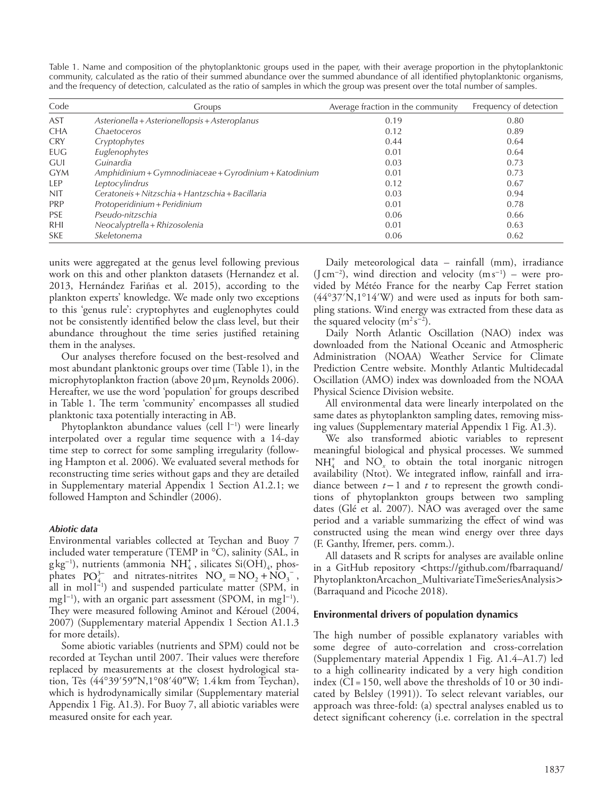Table 1. Name and composition of the phytoplanktonic groups used in the paper, with their average proportion in the phytoplanktonic community, calculated as the ratio of their summed abundance over the summed abundance of all identified phytoplanktonic organisms, and the frequency of detection, calculated as the ratio of samples in which the group was present over the total number of samples.

| Code       | Groups                                                 | Average fraction in the community | Frequency of detection |
|------------|--------------------------------------------------------|-----------------------------------|------------------------|
| <b>AST</b> | Asterionella + Asterionellopsis + Asteroplanus         | 0.19                              | 0.80                   |
| <b>CHA</b> | Chaetoceros                                            | 0.12                              | 0.89                   |
| <b>CRY</b> | Cryptophytes                                           | 0.44                              | 0.64                   |
| <b>EUG</b> | Euglenophytes                                          | 0.01                              | 0.64                   |
| <b>GUI</b> | Guinardia                                              | 0.03                              | 0.73                   |
| <b>GYM</b> | Amphidinium + Gymnodiniaceae + Gyrodinium + Katodinium | 0.01                              | 0.73                   |
| LEP        | Leptocylindrus                                         | 0.12                              | 0.67                   |
| <b>NIT</b> | Ceratoneis + Nitzschia + Hantzschia + Bacillaria       | 0.03                              | 0.94                   |
| PRP        | Protoperidinium + Peridinium                           | 0.01                              | 0.78                   |
| <b>PSE</b> | Pseudo-nitzschia                                       | 0.06                              | 0.66                   |
| <b>RHI</b> | Neocalyptrella + Rhizosolenia                          | 0.01                              | 0.63                   |
| <b>SKE</b> | Skeletonema                                            | 0.06                              | 0.62                   |

units were aggregated at the genus level following previous work on this and other plankton datasets (Hernandez et al. 2013, Hernández Fariñas et al. 2015), according to the plankton experts' knowledge. We made only two exceptions to this 'genus rule': cryptophytes and euglenophytes could not be consistently identified below the class level, but their abundance throughout the time series justified retaining them in the analyses.

Our analyses therefore focused on the best-resolved and most abundant planktonic groups over time (Table 1), in the microphytoplankton fraction (above 20  $\mu$ m, Reynolds 2006). Hereafter, we use the word 'population' for groups described in Table 1. The term 'community' encompasses all studied planktonic taxa potentially interacting in AB.

Phytoplankton abundance values (cell l<sup>−</sup><sup>1</sup> ) were linearly interpolated over a regular time sequence with a 14-day time step to correct for some sampling irregularity (following Hampton et al. 2006). We evaluated several methods for reconstructing time series without gaps and they are detailed in Supplementary material Appendix 1 Section A1.2.1; we followed Hampton and Schindler (2006).

## *Abiotic data*

Environmental variables collected at Teychan and Buoy 7 included water temperature (TEMP in °C), salinity (SAL, in  $g\,kg^{-1}$ ), nutrients (ammonia  $\,\mathrm{NH}_4^+$ , silicates Si $(\mathrm{OH})_4^{}$ , phosphates  $PQ_3^3$  and nitrates-nitrites  $NO_x = NO_2 + NO_3^-$ , all in moll<sup>-1</sup>) and suspended particulate matter (SPM, in mg l<sup>-1</sup>), with an organic part assessment (SPOM, in mg l<sup>-1</sup>). They were measured following Aminot and Kérouel (2004, 2007) (Supplementary material Appendix 1 Section A1.1.3 for more details).

Some abiotic variables (nutrients and SPM) could not be recorded at Teychan until 2007. Their values were therefore replaced by measurements at the closest hydrological station, Tès (44°39′59²N,1°08′40²W; 1.4 km from Teychan), which is hydrodynamically similar (Supplementary material Appendix 1 Fig. A1.3). For Buoy 7, all abiotic variables were measured onsite for each year.

Daily meteorological data – rainfall (mm), irradiance  $(J \text{ cm}^{-2})$ , wind direction and velocity  $(m s^{-1})$  – were provided by Météo France for the nearby Cap Ferret station  $(44°37'N,1°14'W)$  and were used as inputs for both sampling stations. Wind energy was extracted from these data as the squared velocity  $(m^2 s^{-2})$ .

Daily North Atlantic Oscillation (NAO) index was downloaded from the National Oceanic and Atmospheric Administration (NOAA) Weather Service for Climate Prediction Centre website. Monthly Atlantic Multidecadal Oscillation (AMO) index was downloaded from the NOAA Physical Science Division website.

All environmental data were linearly interpolated on the same dates as phytoplankton sampling dates, removing missing values (Supplementary material Appendix 1 Fig. A1.3).

We also transformed abiotic variables to represent meaningful biological and physical processes. We summed  $NH<sub>4</sub><sup>+</sup>$  and  $NO<sub>x</sub>$  to obtain the total inorganic nitrogen availability (Ntot). We integrated inflow, rainfall and irradiance between *t*−1 and *t* to represent the growth conditions of phytoplankton groups between two sampling dates (Glé et al. 2007). NAO was averaged over the same period and a variable summarizing the effect of wind was constructed using the mean wind energy over three days (F. Ganthy, Ifremer, pers. comm.).

All datasets and R scripts for analyses are available online in a GitHub repository <https://github.com/fbarraquand/ PhytoplanktonArcachon\_MultivariateTimeSeriesAnalysis> (Barraquand and Picoche 2018).

# **Environmental drivers of population dynamics**

The high number of possible explanatory variables with some degree of auto-correlation and cross-correlation (Supplementary material Appendix 1 Fig. A1.4–A1.7) led to a high collinearity indicated by a very high condition index (CI = 150, well above the thresholds of 10 or 30 indicated by Belsley (1991)). To select relevant variables, our approach was three-fold: (a) spectral analyses enabled us to detect significant coherency (i.e. correlation in the spectral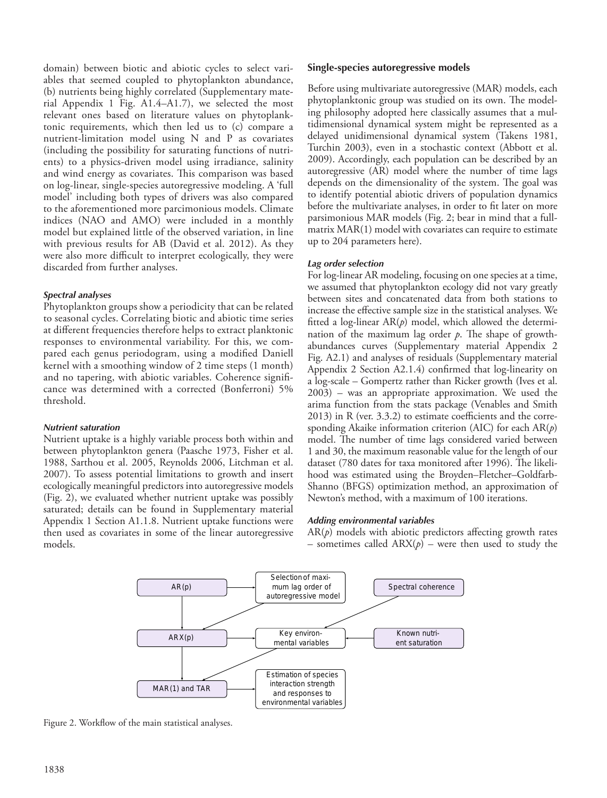domain) between biotic and abiotic cycles to select variables that seemed coupled to phytoplankton abundance, (b) nutrients being highly correlated (Supplementary material Appendix 1 Fig. A1.4–A1.7), we selected the most relevant ones based on literature values on phytoplanktonic requirements, which then led us to (c) compare a nutrient-limitation model using N and P as covariates (including the possibility for saturating functions of nutrients) to a physics-driven model using irradiance, salinity and wind energy as covariates. This comparison was based on log-linear, single-species autoregressive modeling. A 'full model' including both types of drivers was also compared to the aforementioned more parcimonious models. Climate indices (NAO and AMO) were included in a monthly model but explained little of the observed variation, in line with previous results for AB (David et al. 2012). As they were also more difficult to interpret ecologically, they were discarded from further analyses.

# *Spectral analyses*

Phytoplankton groups show a periodicity that can be related to seasonal cycles. Correlating biotic and abiotic time series at different frequencies therefore helps to extract planktonic responses to environmental variability. For this, we compared each genus periodogram, using a modified Daniell kernel with a smoothing window of 2 time steps (1 month) and no tapering, with abiotic variables. Coherence significance was determined with a corrected (Bonferroni) 5% threshold.

## *Nutrient saturation*

Nutrient uptake is a highly variable process both within and between phytoplankton genera (Paasche 1973, Fisher et al. 1988, Sarthou et al. 2005, Reynolds 2006, Litchman et al. 2007). To assess potential limitations to growth and insert ecologically meaningful predictors into autoregressive models (Fig. 2), we evaluated whether nutrient uptake was possibly saturated; details can be found in Supplementary material Appendix 1 Section A1.1.8. Nutrient uptake functions were then used as covariates in some of the linear autoregressive models.

# **Single-species autoregressive models**

Before using multivariate autoregressive (MAR) models, each phytoplanktonic group was studied on its own. The modeling philosophy adopted here classically assumes that a multidimensional dynamical system might be represented as a delayed unidimensional dynamical system (Takens 1981, Turchin 2003), even in a stochastic context (Abbott et al. 2009). Accordingly, each population can be described by an autoregressive (AR) model where the number of time lags depends on the dimensionality of the system. The goal was to identify potential abiotic drivers of population dynamics before the multivariate analyses, in order to fit later on more parsimonious MAR models (Fig. 2; bear in mind that a fullmatrix MAR(1) model with covariates can require to estimate up to 204 parameters here).

# *Lag order selection*

For log-linear AR modeling, focusing on one species at a time, we assumed that phytoplankton ecology did not vary greatly between sites and concatenated data from both stations to increase the effective sample size in the statistical analyses. We fitted a log-linear AR(*p*) model, which allowed the determination of the maximum lag order *p*. The shape of growthabundances curves (Supplementary material Appendix 2 Fig. A2.1) and analyses of residuals (Supplementary material Appendix 2 Section A2.1.4) confirmed that log-linearity on a log-scale – Gompertz rather than Ricker growth (Ives et al. 2003) – was an appropriate approximation. We used the arima function from the stats package (Venables and Smith 2013) in R (ver. 3.3.2) to estimate coefficients and the corresponding Akaike information criterion (AIC) for each AR(*p*) model. The number of time lags considered varied between 1 and 30, the maximum reasonable value for the length of our dataset (780 dates for taxa monitored after 1996). The likelihood was estimated using the Broyden–Fletcher–Goldfarb-Shanno (BFGS) optimization method, an approximation of Newton's method, with a maximum of 100 iterations.

## *Adding environmental variables*

AR(*p*) models with abiotic predictors affecting growth rates – sometimes called  $ARX(p)$  – were then used to study the



Figure 2. Workflow of the main statistical analyses.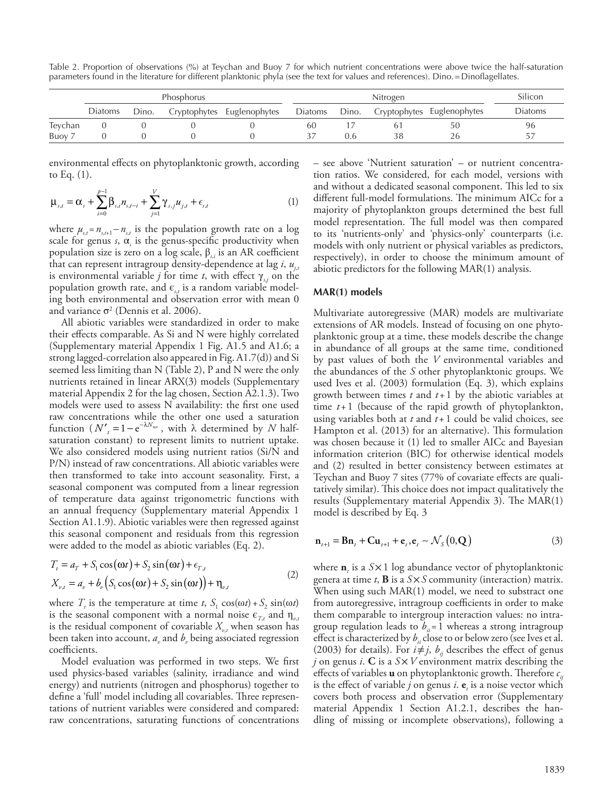Table 2. Proportion of observations (%) at Teychan and Buoy 7 for which nutrient concentrations were above twice the half-saturation parameters found in the literature for different planktonic phyla (see the text for values and references). Dino.=Dinoflagellates.

|         |         |       | Phosphorus |                            |         | Silicon |    |                            |              |
|---------|---------|-------|------------|----------------------------|---------|---------|----|----------------------------|--------------|
|         | Diatoms | Dino. |            | Cryptophytes Euglenophytes | Diatoms | Dino.   |    | Cryptophytes Euglenophytes | Diatoms      |
| Teychan |         |       |            |                            | 60      |         |    | 50                         | 96           |
| Buoy 7  |         |       |            |                            |         | 0.6     | 38 |                            | $- -$<br>, כ |

environmental effects on phytoplanktonic growth, according to Eq. (1).

$$
\mu_{s,t} = \alpha_s + \sum_{i=0}^{p-1} \beta_{s,i} n_{s,t-i} + \sum_{j=1}^{V} \gamma_{s,j} u_{j,t} + \epsilon_{s,t}
$$
 (1)

where  $\mu_{s,t} = n_{s,t+1} - n_{s,t}$  is the population growth rate on a log scale for genus  $s$ ,  $\alpha$ <sub>s</sub> is the genus-specific productivity when population size is zero on a log scale, β*<sup>s</sup>*,*<sup>i</sup>* is an AR coefficient that can represent intragroup density-dependence at lag  $i$ ,  $u_{i,t}$ is environmental variable *j* for time *t*, with effect γ*<sup>s</sup>*,*<sup>j</sup>* on the population growth rate, and ϵ*<sup>s</sup>*,*<sup>t</sup>* is a random variable modeling both environmental and observation error with mean 0 and variance  $\sigma^2$  (Dennis et al. 2006).

All abiotic variables were standardized in order to make their effects comparable. As Si and N were highly correlated (Supplementary material Appendix 1 Fig. A1.5 and A1.6; a strong lagged-correlation also appeared in Fig. A1.7(d)) and Si seemed less limiting than N (Table 2), P and N were the only nutrients retained in linear ARX(3) models (Supplementary material Appendix 2 for the lag chosen, Section A2.1.3). Two models were used to assess N availability: the first one used raw concentrations while the other one used a saturation function  $(N'_{t} = 1 - e^{-\lambda N_{\text{tot}}}$ , with  $\lambda$  determined by *N* halfsaturation constant) to represent limits to nutrient uptake. We also considered models using nutrient ratios (Si/N and P/N) instead of raw concentrations. All abiotic variables were then transformed to take into account seasonality. First, a seasonal component was computed from a linear regression of temperature data against trigonometric functions with an annual frequency (Supplementary material Appendix 1 Section A1.1.9). Abiotic variables were then regressed against this seasonal component and residuals from this regression were added to the model as abiotic variables (Eq. 2).

$$
T_t = a_T + S_1 \cos(\omega t) + S_2 \sin(\omega t) + \epsilon_{T,t}
$$
  
\n
$$
X_{v,t} = a_v + b_v \left( S_1 \cos(\omega t) + S_2 \sin(\omega t) \right) + \eta_{v,t}
$$
\n(2)

where  $T<sub>t</sub>$  is the temperature at time  $t$ ,  $S<sub>1</sub> \cos(\omega t) + S<sub>2</sub> \sin(\omega t)$ is the seasonal component with a normal noise  $\epsilon_{T,t}$  and  $\eta_{v,t}$ is the residual component of covariable  $X_{v,t}$  when season has been taken into account,  $a_v$  and  $b_v$  being associated regression coefficients.

Model evaluation was performed in two steps. We first used physics-based variables (salinity, irradiance and wind energy) and nutrients (nitrogen and phosphorus) together to define a 'full' model including all covariables. Three representations of nutrient variables were considered and compared: raw concentrations, saturating functions of concentrations – see above 'Nutrient saturation' – or nutrient concentration ratios. We considered, for each model, versions with and without a dedicated seasonal component. This led to six different full-model formulations. The minimum AICc for a majority of phytoplankton groups determined the best full model representation. The full model was then compared to its 'nutrients-only' and 'physics-only' counterparts (i.e. models with only nutrient or physical variables as predictors, respectively), in order to choose the minimum amount of abiotic predictors for the following MAR(1) analysis.

#### **MAR(1) models**

Multivariate autoregressive (MAR) models are multivariate extensions of AR models. Instead of focusing on one phytoplanktonic group at a time, these models describe the change in abundance of all groups at the same time, conditioned by past values of both the *V* environmental variables and the abundances of the *S* other phytoplanktonic groups. We used Ives et al. (2003) formulation (Eq. 3), which explains growth between times *t* and *t* +1 by the abiotic variables at time *t*+1 (because of the rapid growth of phytoplankton, using variables both at *t* and *t*+1 could be valid choices, see Hampton et al. (2013) for an alternative). This formulation was chosen because it (1) led to smaller AICc and Bayesian information criterion (BIC) for otherwise identical models and (2) resulted in better consistency between estimates at Teychan and Buoy 7 sites (77% of covariate effects are qualitatively similar). This choice does not impact qualitatively the results (Supplementary material Appendix 3). The MAR(1) model is described by Eq. 3

$$
\mathbf{n}_{t+1} = \mathbf{B}\mathbf{n}_t + \mathbf{C}\mathbf{u}_{t+1} + \mathbf{e}_t, \mathbf{e}_t \sim \mathcal{N}_S(0, \mathbf{Q})
$$
(3)

where  $\mathbf{n}_t$  is a  $S \times 1$  log abundance vector of phytoplanktonic genera at time *t*, **B** is a *S*×*S* community (interaction) matrix. When using such MAR(1) model, we need to substract one from autoregressive, intragroup coefficients in order to make them comparable to intergroup interaction values: no intragroup regulation leads to  $b_{ii} = 1$  whereas a strong intragroup effect is characterized by  $b_{ii}$  close to or below zero (see Ives et al. (2003) for details). For  $i \neq j$ ,  $b_{ij}$  describes the effect of genus *j* on genus *i*. **C** is a *S*×*V* environment matrix describing the effects of variables **u** on phytoplanktonic growth. Therefore *cij* is the effect of variable  $j$  on genus  $i$ .  $e_i$  is a noise vector which covers both process and observation error (Supplementary material Appendix 1 Section A1.2.1, describes the handling of missing or incomplete observations), following a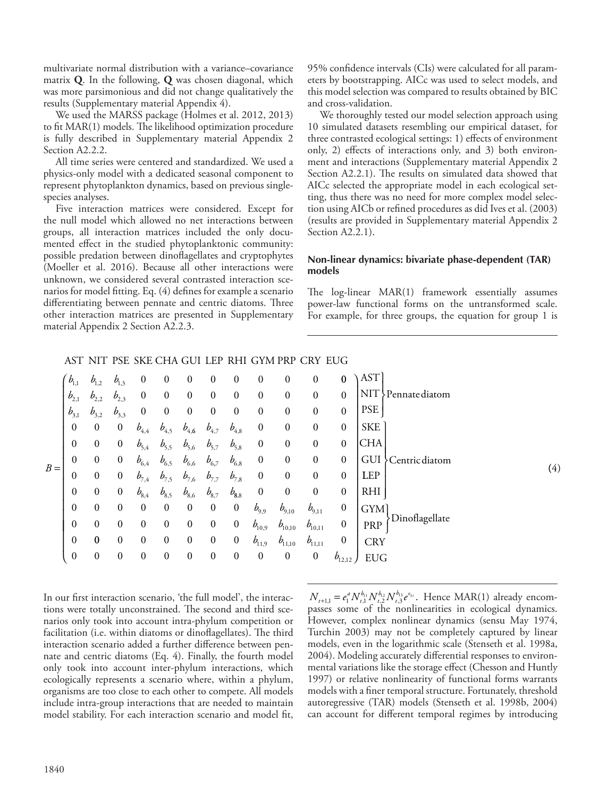multivariate normal distribution with a variance–covariance matrix **Q**. In the following, **Q** was chosen diagonal, which was more parsimonious and did not change qualitatively the results (Supplementary material Appendix 4).

We used the MARSS package (Holmes et al. 2012, 2013) to fit MAR(1) models. The likelihood optimization procedure is fully described in Supplementary material Appendix 2 Section A2.2.2.

All time series were centered and standardized. We used a physics-only model with a dedicated seasonal component to represent phytoplankton dynamics, based on previous singlespecies analyses.

Five interaction matrices were considered. Except for the null model which allowed no net interactions between groups, all interaction matrices included the only documented effect in the studied phytoplanktonic community: possible predation between dinoflagellates and cryptophytes (Moeller et al. 2016). Because all other interactions were unknown, we considered several contrasted interaction scenarios for model fitting. Eq. (4) defines for example a scenario differentiating between pennate and centric diatoms. Three other interaction matrices are presented in Supplementary material Appendix 2 Section A2.2.3.

95% confidence intervals (CIs) were calculated for all parameters by bootstrapping. AICc was used to select models, and this model selection was compared to results obtained by BIC and cross-validation.

We thoroughly tested our model selection approach using 10 simulated datasets resembling our empirical dataset, for three contrasted ecological settings: 1) effects of environment only, 2) effects of interactions only, and 3) both environment and interactions (Supplementary material Appendix 2 Section A2.2.1). The results on simulated data showed that AICc selected the appropriate model in each ecological setting, thus there was no need for more complex model selection using AICb or refined procedures as did Ives et al. (2003) (results are provided in Supplementary material Appendix 2 Section A2.2.1).

# **Non-linear dynamics: bivariate phase-dependent (TAR) models**

The log-linear MAR(1) framework essentially assumes power-law functional forms on the untransformed scale. For example, for three groups, the equation for group 1 is

| AST NIT PSE SKE CHA GUI LEP RHI GYM PRP CRY EUG |  |  |  |  |  |  |  |  |
|-------------------------------------------------|--|--|--|--|--|--|--|--|
|-------------------------------------------------|--|--|--|--|--|--|--|--|

|       | $b_{1,1}$        | $b_{1,2}$        | $b_{1,3}$        | 0                | $\theta$     | $\overline{0}$   | $\mathbf{0}$     | $\mathbf{0}$     | $\boldsymbol{0}$ | 0                | $\boldsymbol{0}$ | $\bf{0}$         | <b>AST</b> |                      |     |
|-------|------------------|------------------|------------------|------------------|--------------|------------------|------------------|------------------|------------------|------------------|------------------|------------------|------------|----------------------|-----|
|       | $b_{2,1}$        | $b_{2,2}$        | $b_{2,3}$        | $\boldsymbol{0}$ | $\theta$     | $\overline{0}$   | $\mathbf{0}$     | $\boldsymbol{0}$ | $\boldsymbol{0}$ | $\boldsymbol{0}$ | $\boldsymbol{0}$ | $\theta$         |            | NIT > Pennate diatom |     |
|       | $b_{3,1}$        | $b_{3,2}$        | $b_{3,3}$        | 0                | $\theta$     | $\overline{0}$   | $\boldsymbol{0}$ | $\mathbf{0}$     | $\boldsymbol{0}$ | 0                | $\boldsymbol{0}$ | $\mathbf{0}$     | PSE        |                      |     |
|       | 0                | $\boldsymbol{0}$ | $\boldsymbol{0}$ | $b_{4,4}$        | $b_{4,5}$    | $b_{4,6}$        | $b_{4,7}$        | $b_{4,8}$        | $\boldsymbol{0}$ | 0                | $\boldsymbol{0}$ | $\boldsymbol{0}$ | <b>SKE</b> |                      |     |
|       | $\boldsymbol{0}$ | $\boldsymbol{0}$ | $\boldsymbol{0}$ | $b_{5,4}$        | $b_{5,5}$    | $b_{5,6}$        | $b_{5,7}$        | $b_{5,8}$        | $\boldsymbol{0}$ | 0                | $\boldsymbol{0}$ | $\boldsymbol{0}$ | <b>CHA</b> |                      |     |
| $B =$ | $\boldsymbol{0}$ | $\mathbf{0}$     | $\boldsymbol{0}$ | $b_{6,4}$        | $b_{6,5}$    | $b_{6,6}$        | $b_{6,7}$        | $b_{6,8}$        | $\boldsymbol{0}$ | $\boldsymbol{0}$ | $\boldsymbol{0}$ | $\boldsymbol{0}$ | GUI        | Centric diatom       |     |
|       | 0                | $\theta$         | $\boldsymbol{0}$ | $b_{7,4}$        | $b_{7,5}$    | $b_{7,6}$        | $b_{7,7}$        | $b_{7,8}$        | $\boldsymbol{0}$ | $\boldsymbol{0}$ | $\boldsymbol{0}$ | $\boldsymbol{0}$ | <b>LEP</b> |                      | (4) |
|       | $\boldsymbol{0}$ | $\theta$         | $\boldsymbol{0}$ | $b_{8,4}$        | $b_{8,5}$    | $b_{8,6}$        | $b_{8,7}$        | $b_{8,8}$        | $\boldsymbol{0}$ | $\boldsymbol{0}$ | $\boldsymbol{0}$ | $\boldsymbol{0}$ | <b>RHI</b> |                      |     |
|       | $\boldsymbol{0}$ | $\theta$         | $\overline{0}$   | $\overline{0}$   | $\theta$     | $\boldsymbol{0}$ | $\boldsymbol{0}$ | $\boldsymbol{0}$ | $b_{9,9}$        | $b_{9,10}$       | $b_{9,11}$       | $\boldsymbol{0}$ | GYM)       |                      |     |
|       | $\boldsymbol{0}$ | $\theta$         | $\overline{0}$   | $\overline{0}$   | $\mathbf{0}$ | $\boldsymbol{0}$ | $\boldsymbol{0}$ | $\boldsymbol{0}$ | $b_{10,9}$       | $b_{10,10}$      | $b_{10,11}$      | $\boldsymbol{0}$ | PRP        | Dinoflagellate       |     |
|       | $\boldsymbol{0}$ | $\mathbf{0}$     | $\overline{0}$   | $\overline{0}$   | $\mathbf{0}$ | $\mathbf{0}$     | $\boldsymbol{0}$ | $\boldsymbol{0}$ | $b_{11,9}$       | $b_{11,10}$      | $b_{11,11}$      | $\boldsymbol{0}$ | <b>CRY</b> |                      |     |
|       | $\boldsymbol{0}$ | $\theta$         | $\overline{0}$   | $\boldsymbol{0}$ | $\theta$     | $\mathbf{0}$     | $\boldsymbol{0}$ | $\boldsymbol{0}$ | $\boldsymbol{0}$ | $\boldsymbol{0}$ | $\boldsymbol{0}$ | $b_{12,12}$      | <b>EUG</b> |                      |     |

In our first interaction scenario, 'the full model', the interactions were totally unconstrained. The second and third scenarios only took into account intra-phylum competition or facilitation (i.e. within diatoms or dinoflagellates). The third interaction scenario added a further difference between pennate and centric diatoms (Eq. 4). Finally, the fourth model only took into account inter-phylum interactions, which ecologically represents a scenario where, within a phylum, organisms are too close to each other to compete. All models include intra-group interactions that are needed to maintain model stability. For each interaction scenario and model fit,

 $N_{t+1,1} = e_1^a N_{t,1}^{b_{11}} N_{t,2}^{b_{12}} N_{t,3}^{b_{13}} e^{c_{1t}}$ . Hence MAR(1) already encompasses some of the nonlinearities in ecological dynamics. However, complex nonlinear dynamics (sensu May 1974, Turchin 2003) may not be completely captured by linear models, even in the logarithmic scale (Stenseth et al. 1998a, 2004). Modeling accurately differential responses to environmental variations like the storage effect (Chesson and Huntly 1997) or relative nonlinearity of functional forms warrants models with a finer temporal structure. Fortunately, threshold autoregressive (TAR) models (Stenseth et al. 1998b, 2004) can account for different temporal regimes by introducing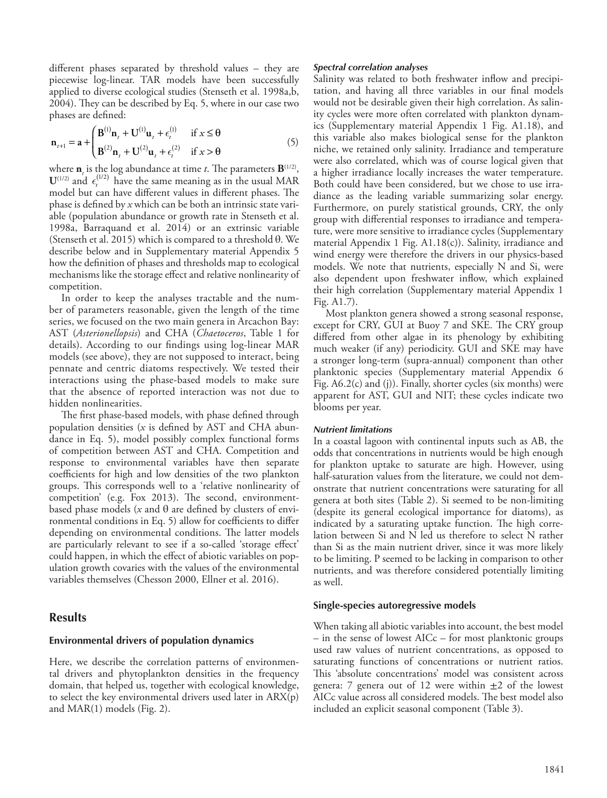different phases separated by threshold values – they are piecewise log-linear. TAR models have been successfully applied to diverse ecological studies (Stenseth et al. 1998a,b, 2004). They can be described by Eq. 5, where in our case two phases are defined:

$$
\mathbf{n}_{t+1} = \mathbf{a} + \begin{pmatrix} \mathbf{B}^{(1)} \mathbf{n}_t + \mathbf{U}^{(1)} \mathbf{u}_t + \epsilon_t^{(1)} & \text{if } x \le \theta \\ \mathbf{B}^{(2)} \mathbf{n}_t + \mathbf{U}^{(2)} \mathbf{u}_t + \epsilon_t^{(2)} & \text{if } x > \theta \end{pmatrix} \tag{5}
$$

where  $\mathbf{n}_t$  is the log abundance at time *t*. The parameters  $\mathbf{B}^{(1/2)}$ ,  $\mathbf{U}^{(1/2)}$  and  $\epsilon_t^{(1/2)}$  have the same meaning as in the usual MAR model but can have different values in different phases. The phase is defined by *x* which can be both an intrinsic state variable (population abundance or growth rate in Stenseth et al. 1998a, Barraquand et al. 2014) or an extrinsic variable (Stenseth et al. 2015) which is compared to a threshold θ. We describe below and in Supplementary material Appendix 5 how the definition of phases and thresholds map to ecological mechanisms like the storage effect and relative nonlinearity of competition.

In order to keep the analyses tractable and the number of parameters reasonable, given the length of the time series, we focused on the two main genera in Arcachon Bay: AST (*Asterionellopsis*) and CHA (*Chaetoceros*, Table 1 for details). According to our findings using log-linear MAR models (see above), they are not supposed to interact, being pennate and centric diatoms respectively. We tested their interactions using the phase-based models to make sure that the absence of reported interaction was not due to hidden nonlinearities.

The first phase-based models, with phase defined through population densities (*x* is defined by AST and CHA abundance in Eq. 5), model possibly complex functional forms of competition between AST and CHA. Competition and response to environmental variables have then separate coefficients for high and low densities of the two plankton groups. This corresponds well to a 'relative nonlinearity of competition' (e.g. Fox 2013). The second, environmentbased phase models (*x* and θ are defined by clusters of environmental conditions in Eq. 5) allow for coefficients to differ depending on environmental conditions. The latter models are particularly relevant to see if a so-called 'storage effect' could happen, in which the effect of abiotic variables on population growth covaries with the values of the environmental variables themselves (Chesson 2000, Ellner et al. 2016).

# **Results**

# **Environmental drivers of population dynamics**

Here, we describe the correlation patterns of environmental drivers and phytoplankton densities in the frequency domain, that helped us, together with ecological knowledge, to select the key environmental drivers used later in ARX(p) and MAR(1) models (Fig. 2).

## *Spectral correlation analyses*

Salinity was related to both freshwater inflow and precipitation, and having all three variables in our final models would not be desirable given their high correlation. As salinity cycles were more often correlated with plankton dynamics (Supplementary material Appendix 1 Fig. A1.18), and this variable also makes biological sense for the plankton niche, we retained only salinity. Irradiance and temperature were also correlated, which was of course logical given that a higher irradiance locally increases the water temperature. Both could have been considered, but we chose to use irradiance as the leading variable summarizing solar energy. Furthermore, on purely statistical grounds, CRY, the only group with differential responses to irradiance and temperature, were more sensitive to irradiance cycles (Supplementary material Appendix 1 Fig. A1.18(c)). Salinity, irradiance and wind energy were therefore the drivers in our physics-based models. We note that nutrients, especially N and Si, were also dependent upon freshwater inflow, which explained their high correlation (Supplementary material Appendix 1 Fig. A1.7).

Most plankton genera showed a strong seasonal response, except for CRY, GUI at Buoy 7 and SKE. The CRY group differed from other algae in its phenology by exhibiting much weaker (if any) periodicity. GUI and SKE may have a stronger long-term (supra-annual) component than other planktonic species (Supplementary material Appendix 6 Fig. A6.2(c) and (j)). Finally, shorter cycles (six months) were apparent for AST, GUI and NIT; these cycles indicate two blooms per year.

## *Nutrient limitations*

In a coastal lagoon with continental inputs such as AB, the odds that concentrations in nutrients would be high enough for plankton uptake to saturate are high. However, using half-saturation values from the literature, we could not demonstrate that nutrient concentrations were saturating for all genera at both sites (Table 2). Si seemed to be non-limiting (despite its general ecological importance for diatoms), as indicated by a saturating uptake function. The high correlation between Si and N led us therefore to select N rather than Si as the main nutrient driver, since it was more likely to be limiting. P seemed to be lacking in comparison to other nutrients, and was therefore considered potentially limiting as well.

#### **Single-species autoregressive models**

When taking all abiotic variables into account, the best model – in the sense of lowest AICc – for most planktonic groups used raw values of nutrient concentrations, as opposed to saturating functions of concentrations or nutrient ratios. This 'absolute concentrations' model was consistent across genera: 7 genera out of 12 were within  $\pm 2$  of the lowest AICc value across all considered models. The best model also included an explicit seasonal component (Table 3).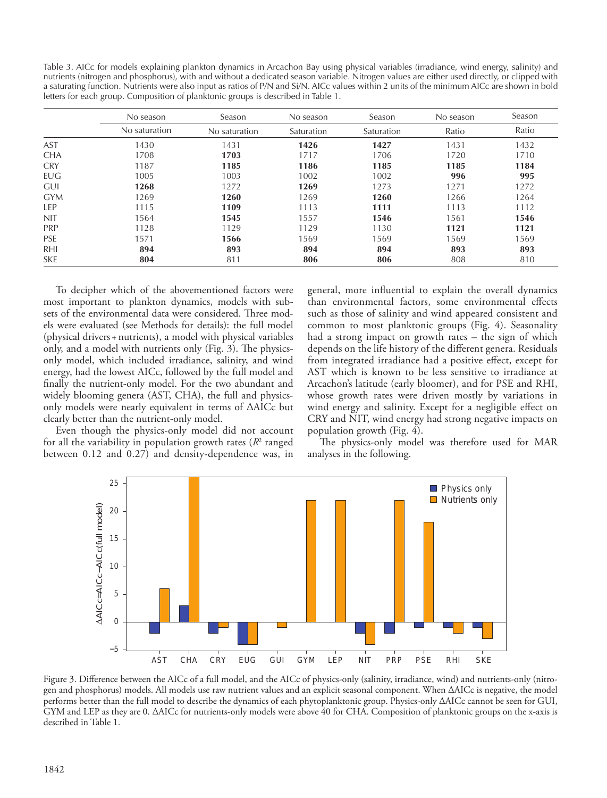Table 3. AICc for models explaining plankton dynamics in Arcachon Bay using physical variables (irradiance, wind energy, salinity) and nutrients (nitrogen and phosphorus), with and without a dedicated season variable. Nitrogen values are either used directly, or clipped with a saturating function. Nutrients were also input as ratios of P/N and Si/N. AICc values within 2 units of the minimum AICc are shown in bold letters for each group. Composition of planktonic groups is described in Table 1.

|            | No season     | Season        | No season  | Season     | No season | Season |
|------------|---------------|---------------|------------|------------|-----------|--------|
|            | No saturation | No saturation | Saturation | Saturation | Ratio     | Ratio  |
| <b>AST</b> | 1430          | 1431          | 1426       | 1427       | 1431      | 1432   |
| <b>CHA</b> | 1708          | 1703          | 1717       | 1706       | 1720      | 1710   |
| <b>CRY</b> | 1187          | 1185          | 1186       | 1185       | 1185      | 1184   |
| <b>EUG</b> | 1005          | 1003          | 1002       | 1002       | 996       | 995    |
| <b>GUI</b> | 1268          | 1272          | 1269       | 1273       | 1271      | 1272   |
| <b>GYM</b> | 1269          | 1260          | 1269       | 1260       | 1266      | 1264   |
| LEP        | 1115          | 1109          | 1113       | 1111       | 1113      | 1112   |
| <b>NIT</b> | 1564          | 1545          | 1557       | 1546       | 1561      | 1546   |
| PRP        | 1128          | 1129          | 1129       | 1130       | 1121      | 1121   |
| <b>PSE</b> | 1571          | 1566          | 1569       | 1569       | 1569      | 1569   |
| <b>RHI</b> | 894           | 893           | 894        | 894        | 893       | 893    |
| <b>SKE</b> | 804           | 811           | 806        | 806        | 808       | 810    |

To decipher which of the abovementioned factors were most important to plankton dynamics, models with subsets of the environmental data were considered. Three models were evaluated (see Methods for details): the full model (physical drivers+nutrients), a model with physical variables only, and a model with nutrients only (Fig. 3). The physicsonly model, which included irradiance, salinity, and wind energy, had the lowest AICc, followed by the full model and finally the nutrient-only model. For the two abundant and widely blooming genera (AST, CHA), the full and physicsonly models were nearly equivalent in terms of ΔAICc but clearly better than the nutrient-only model.

Even though the physics-only model did not account for all the variability in population growth rates  $(R^2 \text{ ranged})$ between 0.12 and 0.27) and density-dependence was, in

general, more influential to explain the overall dynamics than environmental factors, some environmental effects such as those of salinity and wind appeared consistent and common to most planktonic groups (Fig. 4). Seasonality had a strong impact on growth rates – the sign of which depends on the life history of the different genera. Residuals from integrated irradiance had a positive effect, except for AST which is known to be less sensitive to irradiance at Arcachon's latitude (early bloomer), and for PSE and RHI, whose growth rates were driven mostly by variations in wind energy and salinity. Except for a negligible effect on CRY and NIT, wind energy had strong negative impacts on population growth (Fig. 4).

The physics-only model was therefore used for MAR analyses in the following.



Figure 3. Difference between the AICc of a full model, and the AICc of physics-only (salinity, irradiance, wind) and nutrients-only (nitrogen and phosphorus) models. All models use raw nutrient values and an explicit seasonal component. When ΔAICc is negative, the model performs better than the full model to describe the dynamics of each phytoplanktonic group. Physics-only ΔAICc cannot be seen for GUI, GYM and LEP as they are 0. ΔAICc for nutrients-only models were above 40 for CHA. Composition of planktonic groups on the x-axis is described in Table 1.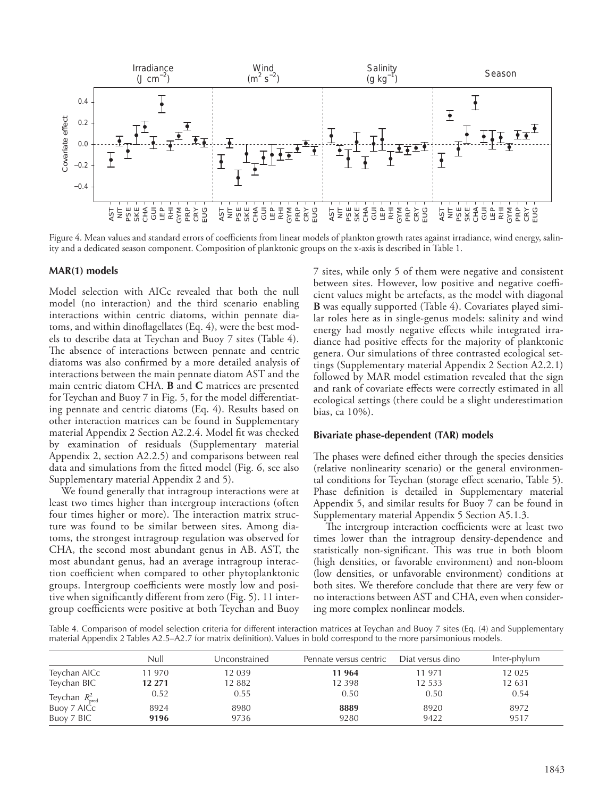

Figure 4. Mean values and standard errors of coefficients from linear models of plankton growth rates against irradiance, wind energy, salinity and a dedicated season component. Composition of planktonic groups on the x-axis is described in Table 1.

#### **MAR(1) models**

Model selection with AICc revealed that both the null model (no interaction) and the third scenario enabling interactions within centric diatoms, within pennate diatoms, and within dinoflagellates (Eq. 4), were the best models to describe data at Teychan and Buoy 7 sites (Table 4). The absence of interactions between pennate and centric diatoms was also confirmed by a more detailed analysis of interactions between the main pennate diatom AST and the main centric diatom CHA. **B** and **C** matrices are presented for Teychan and Buoy 7 in Fig. 5, for the model differentiating pennate and centric diatoms (Eq. 4). Results based on other interaction matrices can be found in Supplementary material Appendix 2 Section A2.2.4. Model fit was checked by examination of residuals (Supplementary material Appendix 2, section A2.2.5) and comparisons between real data and simulations from the fitted model (Fig. 6, see also Supplementary material Appendix 2 and 5).

We found generally that intragroup interactions were at least two times higher than intergroup interactions (often four times higher or more). The interaction matrix structure was found to be similar between sites. Among diatoms, the strongest intragroup regulation was observed for CHA, the second most abundant genus in AB. AST, the most abundant genus, had an average intragroup interaction coefficient when compared to other phytoplanktonic groups. Intergroup coefficients were mostly low and positive when significantly different from zero (Fig. 5). 11 intergroup coefficients were positive at both Teychan and Buoy 7 sites, while only 5 of them were negative and consistent between sites. However, low positive and negative coefficient values might be artefacts, as the model with diagonal **B** was equally supported (Table 4). Covariates played similar roles here as in single-genus models: salinity and wind energy had mostly negative effects while integrated irradiance had positive effects for the majority of planktonic genera. Our simulations of three contrasted ecological settings (Supplementary material Appendix 2 Section A2.2.1) followed by MAR model estimation revealed that the sign and rank of covariate effects were correctly estimated in all ecological settings (there could be a slight underestimation bias, ca 10%).

#### **Bivariate phase-dependent (TAR) models**

The phases were defined either through the species densities (relative nonlinearity scenario) or the general environmental conditions for Teychan (storage effect scenario, Table 5). Phase definition is detailed in Supplementary material Appendix 5, and similar results for Buoy 7 can be found in Supplementary material Appendix 5 Section A5.1.3.

The intergroup interaction coefficients were at least two times lower than the intragroup density-dependence and statistically non-significant. This was true in both bloom (high densities, or favorable environment) and non-bloom (low densities, or unfavorable environment) conditions at both sites. We therefore conclude that there are very few or no interactions between AST and CHA, even when considering more complex nonlinear models.

Table 4. Comparison of model selection criteria for different interaction matrices at Teychan and Buoy 7 sites (Eq. (4) and Supplementary material Appendix 2 Tables A2.5–A2.7 for matrix definition). Values in bold correspond to the more parsimonious models.

|                             | Null   | Unconstrained | Pennate versus centric | Diat versus dino | Inter-phylum |
|-----------------------------|--------|---------------|------------------------|------------------|--------------|
| Teychan AICc                | 11970  | 12 039        | 11 964                 | 11 971           | 12 025       |
| Teychan BIC                 | 12 271 | 12 882        | 12 3 9 8               | 12 533           | 12 631       |
| Teychan $R^2_{\text{pred}}$ | 0.52   | 0.55          | 0.50                   | 0.50             | 0.54         |
| Buoy 7 AICc                 | 8924   | 8980          | 8889                   | 8920             | 8972         |
| Buoy 7 BIC                  | 9196   | 9736          | 9280                   | 9422             | 9517         |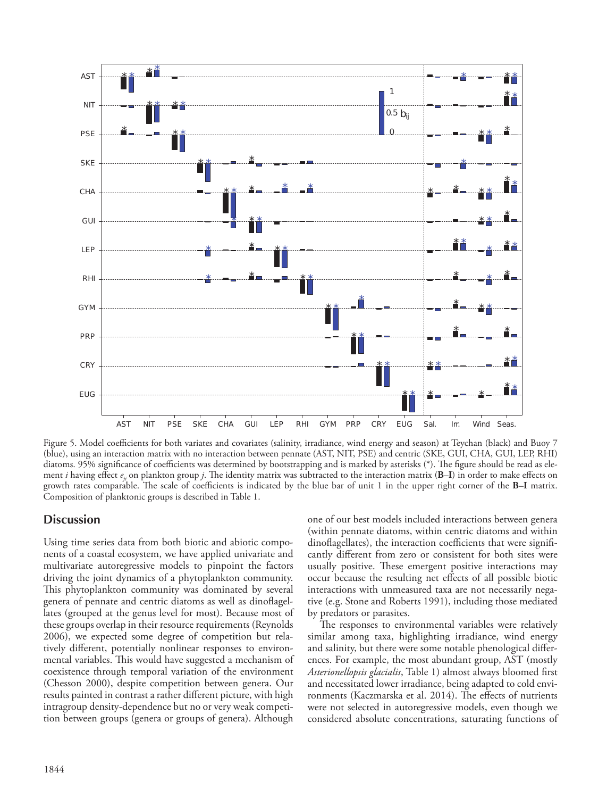

Figure 5. Model coefficients for both variates and covariates (salinity, irradiance, wind energy and season) at Teychan (black) and Buoy 7 (blue), using an interaction matrix with no interaction between pennate (AST, NIT, PSE) and centric (SKE, GUI, CHA, GUI, LEP, RHI) diatoms. 95% significance of coefficients was determined by bootstrapping and is marked by asterisks (\*). The figure should be read as element *i* having effect *eji* on plankton group *j*. The identity matrix was subtracted to the interaction matrix (**B**–**I**) in order to make effects on growth rates comparable. The scale of coefficients is indicated by the blue bar of unit 1 in the upper right corner of the **B**–**I** matrix. Composition of planktonic groups is described in Table 1.

# **Discussion**

Using time series data from both biotic and abiotic components of a coastal ecosystem, we have applied univariate and multivariate autoregressive models to pinpoint the factors driving the joint dynamics of a phytoplankton community. This phytoplankton community was dominated by several genera of pennate and centric diatoms as well as dinoflagellates (grouped at the genus level for most). Because most of these groups overlap in their resource requirements (Reynolds 2006), we expected some degree of competition but relatively different, potentially nonlinear responses to environmental variables. This would have suggested a mechanism of coexistence through temporal variation of the environment (Chesson 2000), despite competition between genera. Our results painted in contrast a rather different picture, with high intragroup density-dependence but no or very weak competition between groups (genera or groups of genera). Although

one of our best models included interactions between genera (within pennate diatoms, within centric diatoms and within dinoflagellates), the interaction coefficients that were significantly different from zero or consistent for both sites were usually positive. These emergent positive interactions may occur because the resulting net effects of all possible biotic interactions with unmeasured taxa are not necessarily negative (e.g. Stone and Roberts 1991), including those mediated by predators or parasites.

The responses to environmental variables were relatively similar among taxa, highlighting irradiance, wind energy and salinity, but there were some notable phenological differences. For example, the most abundant group, AST (mostly *Asterionellopsis glacialis*, Table 1) almost always bloomed first and necessitated lower irradiance, being adapted to cold environments (Kaczmarska et al. 2014). The effects of nutrients were not selected in autoregressive models, even though we considered absolute concentrations, saturating functions of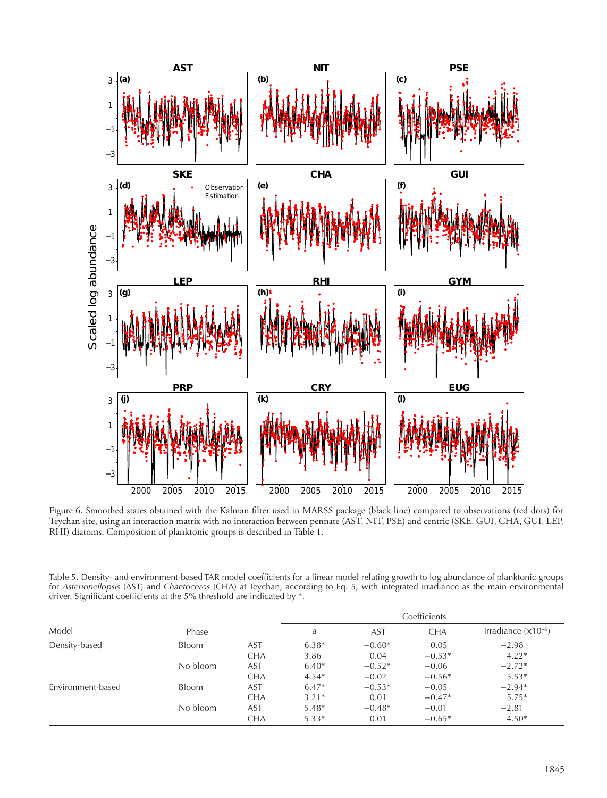

Figure 6. Smoothed states obtained with the Kalman filter used in MARSS package (black line) compared to observations (red dots) for Teychan site, using an interaction matrix with no interaction between pennate (AST, NIT, PSE) and centric (SKE, GUI, CHA, GUI, LEP, RHI) diatoms. Composition of planktonic groups is described in Table 1.

| Table 5. Density- and environment-based TAR model coefficients for a linear model relating growth to log abundance of planktonic groups |  |
|-----------------------------------------------------------------------------------------------------------------------------------------|--|
| for Asterionellopsis (AST) and Chaetoceros (CHA) at Teychan, according to Eq. 5, with integrated irradiance as the main environmental   |  |
| driver. Significant coefficients at the 5% threshold are indicated by *.                                                                |  |

|                   |              |            | Coefficients |                          |          |                         |  |  |  |  |
|-------------------|--------------|------------|--------------|--------------------------|----------|-------------------------|--|--|--|--|
| Model             | Phase        |            | a            | <b>CHA</b><br><b>AST</b> |          | Irradiance $(x10^{-5})$ |  |  |  |  |
| Density-based     | Bloom        | <b>AST</b> | $6.38*$      | $-0.60*$                 | 0.05     | $-2.98$                 |  |  |  |  |
|                   |              | <b>CHA</b> | 3.86         | 0.04                     | $-0.53*$ | $4.22*$                 |  |  |  |  |
|                   | No bloom     | <b>AST</b> | $6.40*$      | $-0.52*$                 | $-0.06$  | $-2.72*$                |  |  |  |  |
|                   |              | <b>CHA</b> | $4.54*$      | $-0.02$                  | $-0.56*$ | $5.53*$                 |  |  |  |  |
| Environment-based | <b>Bloom</b> | <b>AST</b> | $6.47*$      | $-0.53*$                 | $-0.05$  | $-2.94*$                |  |  |  |  |
|                   |              | <b>CHA</b> | $3.21*$      | 0.01                     | $-0.47*$ | $5.75*$                 |  |  |  |  |
|                   | No bloom     | AST        | $5.48*$      | $-0.48*$                 | $-0.01$  | $-2.81$                 |  |  |  |  |
|                   |              | <b>CHA</b> | $5.33*$      | 0.01                     | $-0.65*$ | $4.50*$                 |  |  |  |  |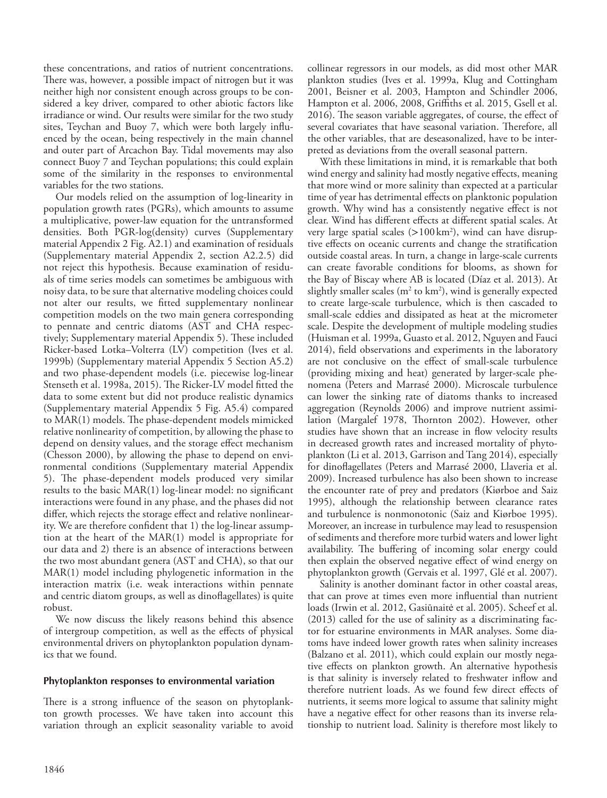these concentrations, and ratios of nutrient concentrations. There was, however, a possible impact of nitrogen but it was neither high nor consistent enough across groups to be considered a key driver, compared to other abiotic factors like irradiance or wind. Our results were similar for the two study sites, Teychan and Buoy 7, which were both largely influenced by the ocean, being respectively in the main channel and outer part of Arcachon Bay. Tidal movements may also connect Buoy 7 and Teychan populations; this could explain some of the similarity in the responses to environmental variables for the two stations.

Our models relied on the assumption of log-linearity in population growth rates (PGRs), which amounts to assume a multiplicative, power-law equation for the untransformed densities. Both PGR-log(density) curves (Supplementary material Appendix 2 Fig. A2.1) and examination of residuals (Supplementary material Appendix 2, section A2.2.5) did not reject this hypothesis. Because examination of residuals of time series models can sometimes be ambiguous with noisy data, to be sure that alternative modeling choices could not alter our results, we fitted supplementary nonlinear competition models on the two main genera corresponding to pennate and centric diatoms (AST and CHA respectively; Supplementary material Appendix 5). These included Ricker-based Lotka–Volterra (LV) competition (Ives et al. 1999b) (Supplementary material Appendix 5 Section A5.2) and two phase-dependent models (i.e. piecewise log-linear Stenseth et al. 1998a, 2015). The Ricker-LV model fitted the data to some extent but did not produce realistic dynamics (Supplementary material Appendix 5 Fig. A5.4) compared to MAR(1) models. The phase-dependent models mimicked relative nonlinearity of competition, by allowing the phase to depend on density values, and the storage effect mechanism (Chesson 2000), by allowing the phase to depend on environmental conditions (Supplementary material Appendix 5). The phase-dependent models produced very similar results to the basic MAR(1) log-linear model: no significant interactions were found in any phase, and the phases did not differ, which rejects the storage effect and relative nonlinearity. We are therefore confident that 1) the log-linear assumption at the heart of the MAR(1) model is appropriate for our data and 2) there is an absence of interactions between the two most abundant genera (AST and CHA), so that our MAR(1) model including phylogenetic information in the interaction matrix (i.e. weak interactions within pennate and centric diatom groups, as well as dinoflagellates) is quite robust.

We now discuss the likely reasons behind this absence of intergroup competition, as well as the effects of physical environmental drivers on phytoplankton population dynamics that we found.

## **Phytoplankton responses to environmental variation**

There is a strong influence of the season on phytoplankton growth processes. We have taken into account this variation through an explicit seasonality variable to avoid

collinear regressors in our models, as did most other MAR plankton studies (Ives et al. 1999a, Klug and Cottingham 2001, Beisner et al. 2003, Hampton and Schindler 2006, Hampton et al. 2006, 2008, Griffiths et al. 2015, Gsell et al. 2016). The season variable aggregates, of course, the effect of several covariates that have seasonal variation. Therefore, all the other variables, that are deseasonalized, have to be interpreted as deviations from the overall seasonal pattern.

With these limitations in mind, it is remarkable that both wind energy and salinity had mostly negative effects, meaning that more wind or more salinity than expected at a particular time of year has detrimental effects on planktonic population growth. Why wind has a consistently negative effect is not clear. Wind has different effects at different spatial scales. At very large spatial scales (>100km2 ), wind can have disruptive effects on oceanic currents and change the stratification outside coastal areas. In turn, a change in large-scale currents can create favorable conditions for blooms, as shown for the Bay of Biscay where AB is located (Díaz et al. 2013). At slightly smaller scales  $(m^2 \text{ to } km^2)$ , wind is generally expected to create large-scale turbulence, which is then cascaded to small-scale eddies and dissipated as heat at the micrometer scale. Despite the development of multiple modeling studies (Huisman et al. 1999a, Guasto et al. 2012, Nguyen and Fauci 2014), field observations and experiments in the laboratory are not conclusive on the effect of small-scale turbulence (providing mixing and heat) generated by larger-scale phenomena (Peters and Marrasé 2000). Microscale turbulence can lower the sinking rate of diatoms thanks to increased aggregation (Reynolds 2006) and improve nutrient assimilation (Margalef 1978, Thornton 2002). However, other studies have shown that an increase in flow velocity results in decreased growth rates and increased mortality of phytoplankton (Li et al. 2013, Garrison and Tang 2014), especially for dinoflagellates (Peters and Marrasé 2000, Llaveria et al. 2009). Increased turbulence has also been shown to increase the encounter rate of prey and predators (Kiørboe and Saiz 1995), although the relationship between clearance rates and turbulence is nonmonotonic (Saiz and Kiørboe 1995). Moreover, an increase in turbulence may lead to resuspension of sediments and therefore more turbid waters and lower light availability. The buffering of incoming solar energy could then explain the observed negative effect of wind energy on phytoplankton growth (Gervais et al. 1997, Glé et al. 2007).

Salinity is another dominant factor in other coastal areas, that can prove at times even more influential than nutrient loads (Irwin et al. 2012, Gasiūnaitė et al. 2005). Scheef et al. (2013) called for the use of salinity as a discriminating factor for estuarine environments in MAR analyses. Some diatoms have indeed lower growth rates when salinity increases (Balzano et al. 2011), which could explain our mostly negative effects on plankton growth. An alternative hypothesis is that salinity is inversely related to freshwater inflow and therefore nutrient loads. As we found few direct effects of nutrients, it seems more logical to assume that salinity might have a negative effect for other reasons than its inverse relationship to nutrient load. Salinity is therefore most likely to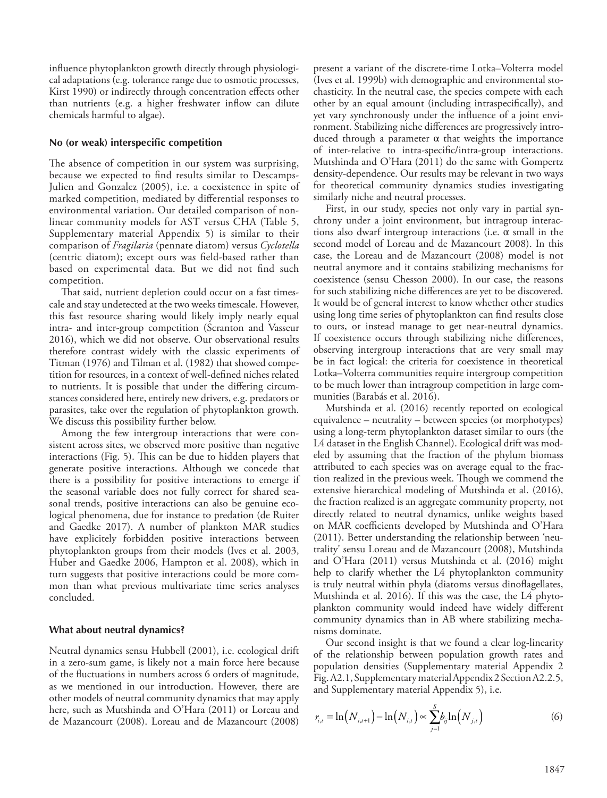influence phytoplankton growth directly through physiological adaptations (e.g. tolerance range due to osmotic processes, Kirst 1990) or indirectly through concentration effects other than nutrients (e.g. a higher freshwater inflow can dilute chemicals harmful to algae).

## **No (or weak) interspecific competition**

The absence of competition in our system was surprising, because we expected to find results similar to Descamps-Julien and Gonzalez (2005), i.e. a coexistence in spite of marked competition, mediated by differential responses to environmental variation. Our detailed comparison of nonlinear community models for AST versus CHA (Table 5, Supplementary material Appendix 5) is similar to their comparison of *Fragilaria* (pennate diatom) versus *Cyclotella* (centric diatom); except ours was field-based rather than based on experimental data. But we did not find such competition.

That said, nutrient depletion could occur on a fast timescale and stay undetected at the two weeks timescale. However, this fast resource sharing would likely imply nearly equal intra- and inter-group competition (Scranton and Vasseur 2016), which we did not observe. Our observational results therefore contrast widely with the classic experiments of Titman (1976) and Tilman et al. (1982) that showed competition for resources, in a context of well-defined niches related to nutrients. It is possible that under the differing circumstances considered here, entirely new drivers, e.g. predators or parasites, take over the regulation of phytoplankton growth. We discuss this possibility further below.

Among the few intergroup interactions that were consistent across sites, we observed more positive than negative interactions (Fig. 5). This can be due to hidden players that generate positive interactions. Although we concede that there is a possibility for positive interactions to emerge if the seasonal variable does not fully correct for shared seasonal trends, positive interactions can also be genuine ecological phenomena, due for instance to predation (de Ruiter and Gaedke 2017). A number of plankton MAR studies have explicitely forbidden positive interactions between phytoplankton groups from their models (Ives et al. 2003, Huber and Gaedke 2006, Hampton et al. 2008), which in turn suggests that positive interactions could be more common than what previous multivariate time series analyses concluded.

#### **What about neutral dynamics?**

Neutral dynamics sensu Hubbell (2001), i.e. ecological drift in a zero-sum game, is likely not a main force here because of the fluctuations in numbers across 6 orders of magnitude, as we mentioned in our introduction. However, there are other models of neutral community dynamics that may apply here, such as Mutshinda and O'Hara (2011) or Loreau and de Mazancourt (2008). Loreau and de Mazancourt (2008) present a variant of the discrete-time Lotka–Volterra model (Ives et al. 1999b) with demographic and environmental stochasticity. In the neutral case, the species compete with each other by an equal amount (including intraspecifically), and yet vary synchronously under the influence of a joint environment. Stabilizing niche differences are progressively introduced through a parameter  $\alpha$  that weights the importance of inter-relative to intra-specific/intra-group interactions. Mutshinda and O'Hara (2011) do the same with Gompertz density-dependence. Our results may be relevant in two ways for theoretical community dynamics studies investigating similarly niche and neutral processes.

First, in our study, species not only vary in partial synchrony under a joint environment, but intragroup interactions also dwarf intergroup interactions (i.e.  $\alpha$  small in the second model of Loreau and de Mazancourt 2008). In this case, the Loreau and de Mazancourt (2008) model is not neutral anymore and it contains stabilizing mechanisms for coexistence (sensu Chesson 2000). In our case, the reasons for such stabilizing niche differences are yet to be discovered. It would be of general interest to know whether other studies using long time series of phytoplankton can find results close to ours, or instead manage to get near-neutral dynamics. If coexistence occurs through stabilizing niche differences, observing intergroup interactions that are very small may be in fact logical: the criteria for coexistence in theoretical Lotka–Volterra communities require intergroup competition to be much lower than intragroup competition in large communities (Barabás et al. 2016).

Mutshinda et al. (2016) recently reported on ecological equivalence – neutrality – between species (or morphotypes) using a long-term phytoplankton dataset similar to ours (the L4 dataset in the English Channel). Ecological drift was modeled by assuming that the fraction of the phylum biomass attributed to each species was on average equal to the fraction realized in the previous week. Though we commend the extensive hierarchical modeling of Mutshinda et al. (2016), the fraction realized is an aggregate community property, not directly related to neutral dynamics, unlike weights based on MAR coefficients developed by Mutshinda and O'Hara (2011). Better understanding the relationship between 'neutrality' sensu Loreau and de Mazancourt (2008), Mutshinda and O'Hara (2011) versus Mutshinda et al. (2016) might help to clarify whether the L4 phytoplankton community is truly neutral within phyla (diatoms versus dinoflagellates, Mutshinda et al. 2016). If this was the case, the L4 phytoplankton community would indeed have widely different community dynamics than in AB where stabilizing mechanisms dominate.

Our second insight is that we found a clear log-linearity of the relationship between population growth rates and population densities (Supplementary material Appendix 2 Fig. A2.1, Supplementary material Appendix 2 Section A2.2.5, and Supplementary material Appendix 5), i.e.

$$
r_{i,t} = \ln(N_{i,t+1}) - \ln(N_{i,t}) \propto \sum_{j=1}^{S} b_{ij} \ln(N_{j,t})
$$
 (6)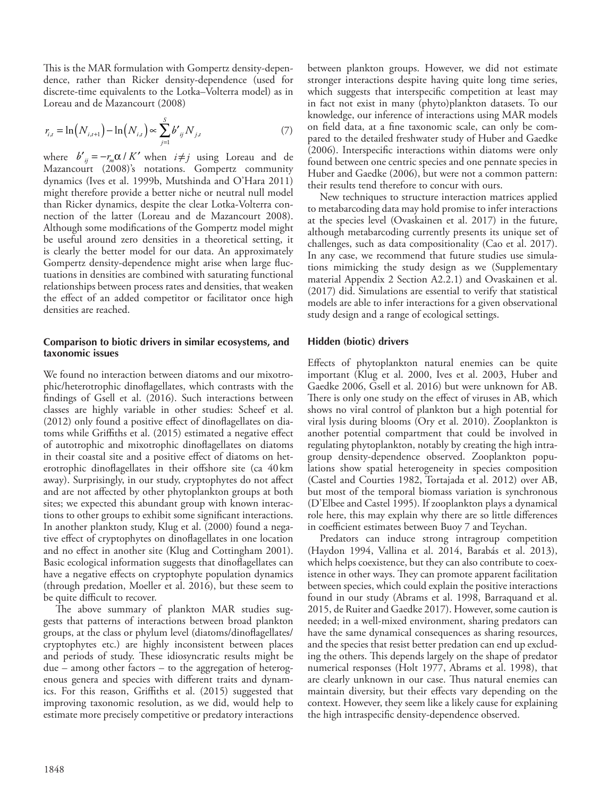This is the MAR formulation with Gompertz density-dependence, rather than Ricker density-dependence (used for discrete-time equivalents to the Lotka–Volterra model) as in Loreau and de Mazancourt (2008)

$$
r_{i,t} = \ln(N_{i,t+1}) - \ln(N_{i,t}) \propto \sum_{j=1}^{S} b'_{ij} N_{j,t}
$$
 (7)

where  $b'_{ij} = -r_m \alpha / K'$  when  $i \neq j$  using Loreau and de Mazancourt (2008)'s notations. Gompertz community dynamics (Ives et al. 1999b, Mutshinda and O'Hara 2011) might therefore provide a better niche or neutral null model than Ricker dynamics, despite the clear Lotka-Volterra connection of the latter (Loreau and de Mazancourt 2008). Although some modifications of the Gompertz model might be useful around zero densities in a theoretical setting, it is clearly the better model for our data. An approximately Gompertz density-dependence might arise when large fluctuations in densities are combined with saturating functional relationships between process rates and densities, that weaken the effect of an added competitor or facilitator once high densities are reached.

## **Comparison to biotic drivers in similar ecosystems, and taxonomic issues**

We found no interaction between diatoms and our mixotrophic/heterotrophic dinoflagellates, which contrasts with the findings of Gsell et al. (2016). Such interactions between classes are highly variable in other studies: Scheef et al. (2012) only found a positive effect of dinoflagellates on diatoms while Griffiths et al. (2015) estimated a negative effect of autotrophic and mixotrophic dinoflagellates on diatoms in their coastal site and a positive effect of diatoms on heterotrophic dinoflagellates in their offshore site (ca 40 km away). Surprisingly, in our study, cryptophytes do not affect and are not affected by other phytoplankton groups at both sites; we expected this abundant group with known interactions to other groups to exhibit some significant interactions. In another plankton study, Klug et al. (2000) found a negative effect of cryptophytes on dinoflagellates in one location and no effect in another site (Klug and Cottingham 2001). Basic ecological information suggests that dinoflagellates can have a negative effects on cryptophyte population dynamics (through predation, Moeller et al. 2016), but these seem to be quite difficult to recover.

The above summary of plankton MAR studies suggests that patterns of interactions between broad plankton groups, at the class or phylum level (diatoms/dinoflagellates/ cryptophytes etc.) are highly inconsistent between places and periods of study. These idiosyncratic results might be due – among other factors – to the aggregation of heterogenous genera and species with different traits and dynamics. For this reason, Griffiths et al. (2015) suggested that improving taxonomic resolution, as we did, would help to estimate more precisely competitive or predatory interactions

between plankton groups. However, we did not estimate stronger interactions despite having quite long time series, which suggests that interspecific competition at least may in fact not exist in many (phyto)plankton datasets. To our knowledge, our inference of interactions using MAR models on field data, at a fine taxonomic scale, can only be compared to the detailed freshwater study of Huber and Gaedke (2006). Interspecific interactions within diatoms were only found between one centric species and one pennate species in Huber and Gaedke (2006), but were not a common pattern: their results tend therefore to concur with ours.

New techniques to structure interaction matrices applied to metabarcoding data may hold promise to infer interactions at the species level (Ovaskainen et al. 2017) in the future, although metabarcoding currently presents its unique set of challenges, such as data compositionality (Cao et al. 2017). In any case, we recommend that future studies use simulations mimicking the study design as we (Supplementary material Appendix 2 Section A2.2.1) and Ovaskainen et al. (2017) did. Simulations are essential to verify that statistical models are able to infer interactions for a given observational study design and a range of ecological settings.

# **Hidden (biotic) drivers**

Effects of phytoplankton natural enemies can be quite important (Klug et al. 2000, Ives et al. 2003, Huber and Gaedke 2006, Gsell et al. 2016) but were unknown for AB. There is only one study on the effect of viruses in AB, which shows no viral control of plankton but a high potential for viral lysis during blooms (Ory et al. 2010). Zooplankton is another potential compartment that could be involved in regulating phytoplankton, notably by creating the high intragroup density-dependence observed. Zooplankton populations show spatial heterogeneity in species composition (Castel and Courties 1982, Tortajada et al. 2012) over AB, but most of the temporal biomass variation is synchronous (D'Elbee and Castel 1995). If zooplankton plays a dynamical role here, this may explain why there are so little differences in coefficient estimates between Buoy 7 and Teychan.

Predators can induce strong intragroup competition (Haydon 1994, Vallina et al. 2014, Barabás et al. 2013), which helps coexistence, but they can also contribute to coexistence in other ways. They can promote apparent facilitation between species, which could explain the positive interactions found in our study (Abrams et al. 1998, Barraquand et al. 2015, de Ruiter and Gaedke 2017). However, some caution is needed; in a well-mixed environment, sharing predators can have the same dynamical consequences as sharing resources, and the species that resist better predation can end up excluding the others. This depends largely on the shape of predator numerical responses (Holt 1977, Abrams et al. 1998), that are clearly unknown in our case. Thus natural enemies can maintain diversity, but their effects vary depending on the context. However, they seem like a likely cause for explaining the high intraspecific density-dependence observed.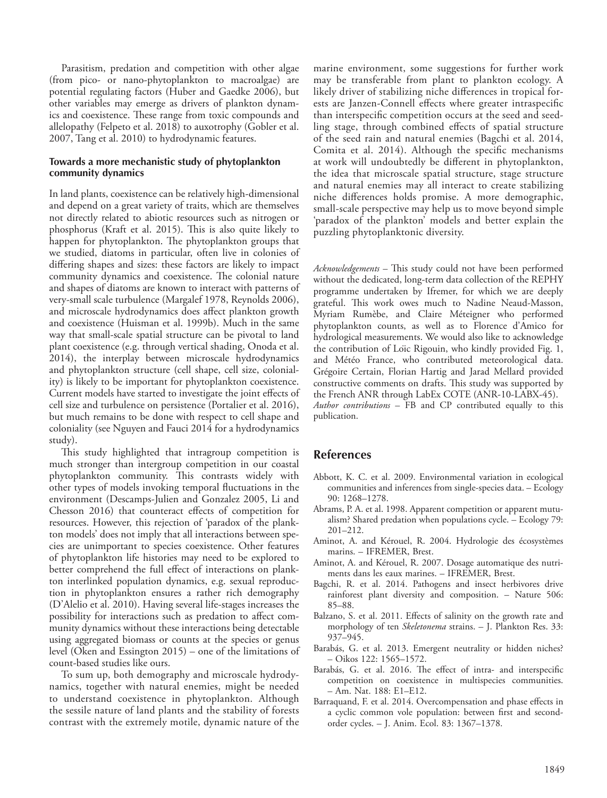Parasitism, predation and competition with other algae (from pico- or nano-phytoplankton to macroalgae) are potential regulating factors (Huber and Gaedke 2006), but other variables may emerge as drivers of plankton dynamics and coexistence. These range from toxic compounds and allelopathy (Felpeto et al. 2018) to auxotrophy (Gobler et al. 2007, Tang et al. 2010) to hydrodynamic features.

# **Towards a more mechanistic study of phytoplankton community dynamics**

In land plants, coexistence can be relatively high-dimensional and depend on a great variety of traits, which are themselves not directly related to abiotic resources such as nitrogen or phosphorus (Kraft et al. 2015). This is also quite likely to happen for phytoplankton. The phytoplankton groups that we studied, diatoms in particular, often live in colonies of differing shapes and sizes: these factors are likely to impact community dynamics and coexistence. The colonial nature and shapes of diatoms are known to interact with patterns of very-small scale turbulence (Margalef 1978, Reynolds 2006), and microscale hydrodynamics does affect plankton growth and coexistence (Huisman et al. 1999b). Much in the same way that small-scale spatial structure can be pivotal to land plant coexistence (e.g. through vertical shading, Onoda et al. 2014), the interplay between microscale hydrodynamics and phytoplankton structure (cell shape, cell size, coloniality) is likely to be important for phytoplankton coexistence. Current models have started to investigate the joint effects of cell size and turbulence on persistence (Portalier et al. 2016), but much remains to be done with respect to cell shape and coloniality (see Nguyen and Fauci 2014 for a hydrodynamics study).

This study highlighted that intragroup competition is much stronger than intergroup competition in our coastal phytoplankton community. This contrasts widely with other types of models invoking temporal fluctuations in the environment (Descamps-Julien and Gonzalez 2005, Li and Chesson 2016) that counteract effects of competition for resources. However, this rejection of 'paradox of the plankton models' does not imply that all interactions between species are unimportant to species coexistence. Other features of phytoplankton life histories may need to be explored to better comprehend the full effect of interactions on plankton interlinked population dynamics, e.g. sexual reproduction in phytoplankton ensures a rather rich demography (D'Alelio et al. 2010). Having several life-stages increases the possibility for interactions such as predation to affect community dynamics without these interactions being detectable using aggregated biomass or counts at the species or genus level (Oken and Essington 2015) – one of the limitations of count-based studies like ours.

To sum up, both demography and microscale hydrodynamics, together with natural enemies, might be needed to understand coexistence in phytoplankton. Although the sessile nature of land plants and the stability of forests contrast with the extremely motile, dynamic nature of the marine environment, some suggestions for further work may be transferable from plant to plankton ecology. A likely driver of stabilizing niche differences in tropical forests are Janzen-Connell effects where greater intraspecific than interspecific competition occurs at the seed and seedling stage, through combined effects of spatial structure of the seed rain and natural enemies (Bagchi et al. 2014, Comita et al. 2014). Although the specific mechanisms at work will undoubtedly be different in phytoplankton, the idea that microscale spatial structure, stage structure and natural enemies may all interact to create stabilizing niche differences holds promise. A more demographic, small-scale perspective may help us to move beyond simple 'paradox of the plankton' models and better explain the puzzling phytoplanktonic diversity.

*Acknowledgements* – This study could not have been performed without the dedicated, long-term data collection of the REPHY programme undertaken by Ifremer, for which we are deeply grateful. This work owes much to Nadine Neaud-Masson, Myriam Rumèbe, and Claire Méteigner who performed phytoplankton counts, as well as to Florence d'Amico for hydrological measurements. We would also like to acknowledge the contribution of Loïc Rigouin, who kindly provided Fig. 1, and Météo France, who contributed meteorological data. Grégoire Certain, Florian Hartig and Jarad Mellard provided constructive comments on drafts. This study was supported by the French ANR through LabEx COTE (ANR-10-LABX-45). *Author contributions* – FB and CP contributed equally to this publication.

# **References**

- Abbott, K. C. et al. 2009. Environmental variation in ecological communities and inferences from single-species data. – Ecology 90: 1268–1278.
- Abrams, P. A. et al. 1998. Apparent competition or apparent mutualism? Shared predation when populations cycle. – Ecology 79: 201–212.
- Aminot, A. and Kérouel, R. 2004. Hydrologie des écosystèmes marins. – IFREMER, Brest.
- Aminot, A. and Kérouel, R. 2007. Dosage automatique des nutriments dans les eaux marines. – IFREMER, Brest.
- Bagchi, R. et al. 2014. Pathogens and insect herbivores drive rainforest plant diversity and composition. – Nature 506: 85–88.
- Balzano, S. et al. 2011. Effects of salinity on the growth rate and morphology of ten *Skeletonema* strains. – J. Plankton Res. 33: 937–945.
- Barabás, G. et al. 2013. Emergent neutrality or hidden niches? – Oikos 122: 1565–1572.
- Barabás, G. et al. 2016. The effect of intra- and interspecific competition on coexistence in multispecies communities. – Am. Nat. 188: E1–E12.
- Barraquand, F. et al. 2014. Overcompensation and phase effects in a cyclic common vole population: between first and secondorder cycles. – J. Anim. Ecol. 83: 1367–1378.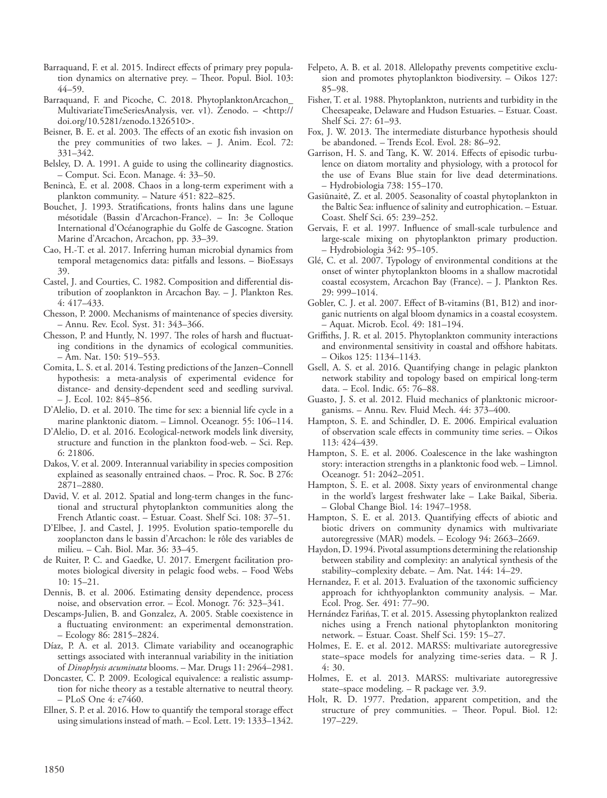- Barraquand, F. et al. 2015. Indirect effects of primary prey population dynamics on alternative prey. – Theor. Popul. Biol. 103: 44–59.
- Barraquand, F. and Picoche, C. 2018. PhytoplanktonArcachon\_ MultivariateTimeSeriesAnalysis, ver. v1). Zenodo. – <http:// doi.org/10.5281/zenodo.1326510>.
- Beisner, B. E. et al. 2003. The effects of an exotic fish invasion on the prey communities of two lakes. – J. Anim. Ecol. 72: 331–342.
- Belsley, D. A. 1991. A guide to using the collinearity diagnostics. – Comput. Sci. Econ. Manage. 4: 33–50.
- Benincà, E. et al. 2008. Chaos in a long-term experiment with a plankton community. – Nature 451: 822–825.
- Bouchet, J. 1993. Stratifications, fronts halins dans une lagune mésotidale (Bassin d'Arcachon-France). – In: 3e Colloque International d'Océanographie du Golfe de Gascogne. Station Marine d'Arcachon, Arcachon, pp. 33–39.
- Cao, H.-T. et al. 2017. Inferring human microbial dynamics from temporal metagenomics data: pitfalls and lessons. – BioEssays 39.
- Castel, J. and Courties, C. 1982. Composition and differential distribution of zooplankton in Arcachon Bay. – J. Plankton Res. 4: 417–433.
- Chesson, P. 2000. Mechanisms of maintenance of species diversity. – Annu. Rev. Ecol. Syst. 31: 343–366.
- Chesson, P. and Huntly, N. 1997. The roles of harsh and fluctuating conditions in the dynamics of ecological communities. – Am. Nat. 150: 519–553.
- Comita, L. S. et al. 2014. Testing predictions of the Janzen–Connell hypothesis: a meta-analysis of experimental evidence for distance- and density-dependent seed and seedling survival. – J. Ecol. 102: 845–856.
- D'Alelio, D. et al. 2010. The time for sex: a biennial life cycle in a marine planktonic diatom. – Limnol. Oceanogr. 55: 106–114.
- D'Alelio, D. et al. 2016. Ecological-network models link diversity, structure and function in the plankton food-web. – Sci. Rep. 6: 21806.
- Dakos, V. et al. 2009. Interannual variability in species composition explained as seasonally entrained chaos. – Proc. R. Soc. B 276: 2871–2880.
- David, V. et al. 2012. Spatial and long-term changes in the functional and structural phytoplankton communities along the French Atlantic coast. – Estuar. Coast. Shelf Sci. 108: 37–51.
- D'Elbee, J. and Castel, J. 1995. Evolution spatio-temporelle du zooplancton dans le bassin d'Arcachon: le rôle des variables de milieu. – Cah. Biol. Mar. 36: 33–45.
- de Ruiter, P. C. and Gaedke, U. 2017. Emergent facilitation promotes biological diversity in pelagic food webs. – Food Webs 10: 15–21.
- Dennis, B. et al. 2006. Estimating density dependence, process noise, and observation error. – Ecol. Monogr. 76: 323–341.
- Descamps-Julien, B. and Gonzalez, A. 2005. Stable coexistence in a fluctuating environment: an experimental demonstration. – Ecology 86: 2815–2824.
- Díaz, P. A. et al. 2013. Climate variability and oceanographic settings associated with interannual variability in the initiation of *Dinophysis acuminata* blooms. – Mar. Drugs 11: 2964–2981.
- Doncaster, C. P. 2009. Ecological equivalence: a realistic assumption for niche theory as a testable alternative to neutral theory. – PLoS One 4: e7460.
- Ellner, S. P. et al. 2016. How to quantify the temporal storage effect using simulations instead of math. – Ecol. Lett. 19: 1333–1342.
- Felpeto, A. B. et al. 2018. Allelopathy prevents competitive exclusion and promotes phytoplankton biodiversity. – Oikos 127: 85–98.
- Fisher, T. et al. 1988. Phytoplankton, nutrients and turbidity in the Cheesapeake, Delaware and Hudson Estuaries. – Estuar. Coast. Shelf Sci. 27: 61–93.
- Fox, J. W. 2013. The intermediate disturbance hypothesis should be abandoned. – Trends Ecol. Evol. 28: 86–92.
- Garrison, H. S. and Tang, K. W. 2014. Effects of episodic turbulence on diatom mortality and physiology, with a protocol for the use of Evans Blue stain for live dead determinations. – Hydrobiologia 738: 155–170.
- Gasiūnaitė, Z. et al. 2005. Seasonality of coastal phytoplankton in the Baltic Sea: influence of salinity and eutrophication. – Estuar. Coast. Shelf Sci. 65: 239–252.
- Gervais, F. et al. 1997. Influence of small-scale turbulence and large-scale mixing on phytoplankton primary production. – Hydrobiologia 342: 95–105.
- Glé, C. et al. 2007. Typology of environmental conditions at the onset of winter phytoplankton blooms in a shallow macrotidal coastal ecosystem, Arcachon Bay (France). – J. Plankton Res. 29: 999–1014.
- Gobler, C. J. et al. 2007. Effect of B-vitamins (B1, B12) and inorganic nutrients on algal bloom dynamics in a coastal ecosystem. – Aquat. Microb. Ecol. 49: 181–194.
- Griffiths, J. R. et al. 2015. Phytoplankton community interactions and environmental sensitivity in coastal and offshore habitats. – Oikos 125: 1134–1143.
- Gsell, A. S. et al. 2016. Quantifying change in pelagic plankton network stability and topology based on empirical long-term data. – Ecol. Indic. 65: 76–88.
- Guasto, J. S. et al. 2012. Fluid mechanics of planktonic microorganisms. – Annu. Rev. Fluid Mech. 44: 373–400.
- Hampton, S. E. and Schindler, D. E. 2006. Empirical evaluation of observation scale effects in community time series. – Oikos 113: 424–439.
- Hampton, S. E. et al. 2006. Coalescence in the lake washington story: interaction strengths in a planktonic food web. – Limnol. Oceanogr. 51: 2042–2051.
- Hampton, S. E. et al. 2008. Sixty years of environmental change in the world's largest freshwater lake – Lake Baikal, Siberia. – Global Change Biol. 14: 1947–1958.
- Hampton, S. E. et al. 2013. Quantifying effects of abiotic and biotic drivers on community dynamics with multivariate autoregressive (MAR) models. – Ecology 94: 2663–2669.
- Haydon, D. 1994. Pivotal assumptions determining the relationship between stability and complexity: an analytical synthesis of the stability–complexity debate. – Am. Nat. 144: 14–29.
- Hernandez, F. et al. 2013. Evaluation of the taxonomic sufficiency approach for ichthyoplankton community analysis. – Mar. Ecol. Prog. Ser. 491: 77–90.
- Hernández Fariñas, T. et al. 2015. Assessing phytoplankton realized niches using a French national phytoplankton monitoring network. – Estuar. Coast. Shelf Sci. 159: 15–27.
- Holmes, E. E. et al. 2012. MARSS: multivariate autoregressive state–space models for analyzing time-series data. – R J. 4: 30.
- Holmes, E. et al. 2013. MARSS: multivariate autoregressive state–space modeling. – R package ver. 3.9.
- Holt, R. D. 1977. Predation, apparent competition, and the structure of prey communities. – Theor. Popul. Biol. 12: 197–229.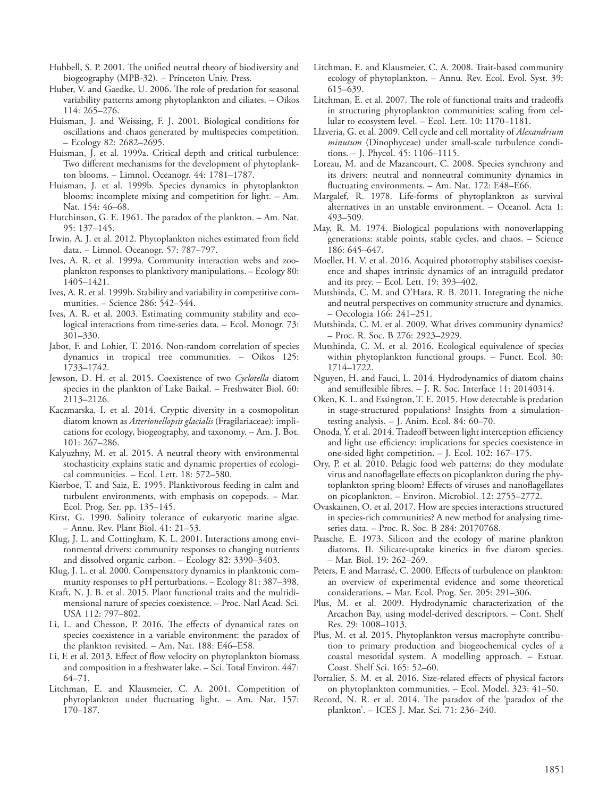- Hubbell, S. P. 2001. The unified neutral theory of biodiversity and biogeography (MPB-32). – Princeton Univ. Press.
- Huber, V. and Gaedke, U. 2006. The role of predation for seasonal variability patterns among phytoplankton and ciliates. – Oikos 114: 265–276.
- Huisman, J. and Weissing, F. J. 2001. Biological conditions for oscillations and chaos generated by multispecies competition. – Ecology 82: 2682–2695.
- Huisman, J. et al. 1999a. Critical depth and critical turbulence: Two different mechanisms for the development of phytoplankton blooms. – Limnol. Oceanogr. 44: 1781–1787.
- Huisman, J. et al. 1999b. Species dynamics in phytoplankton blooms: incomplete mixing and competition for light. – Am. Nat. 154: 46–68.
- Hutchinson, G. E. 1961. The paradox of the plankton. Am. Nat. 95: 137–145.
- Irwin, A. J. et al. 2012. Phytoplankton niches estimated from field data. – Limnol. Oceanogr. 57: 787–797.
- Ives, A. R. et al. 1999a. Community interaction webs and zooplankton responses to planktivory manipulations. – Ecology 80: 1405–1421.
- Ives, A. R. et al. 1999b. Stability and variability in competitive communities. – Science 286: 542–544.
- Ives, A. R. et al. 2003. Estimating community stability and ecological interactions from time-series data. – Ecol. Monogr. 73: 301–330.
- Jabot, F. and Lohier, T. 2016. Non-random correlation of species dynamics in tropical tree communities. – Oikos 125: 1733–1742.
- Jewson, D. H. et al. 2015. Coexistence of two *Cyclotella* diatom species in the plankton of Lake Baikal. – Freshwater Biol. 60: 2113–2126.
- Kaczmarska, I. et al. 2014. Cryptic diversity in a cosmopolitan diatom known as *Asterionellopsis glacialis* (Fragilariaceae): implications for ecology, biogeography, and taxonomy. – Am. J. Bot. 101: 267–286.
- Kalyuzhny, M. et al. 2015. A neutral theory with environmental stochasticity explains static and dynamic properties of ecological communities. – Ecol. Lett. 18: 572–580.
- Kiørboe, T. and Saiz, E. 1995. Planktivorous feeding in calm and turbulent environments, with emphasis on copepods. – Mar. Ecol. Prog. Ser. pp. 135–145.
- Kirst, G. 1990. Salinity tolerance of eukaryotic marine algae. – Annu. Rev. Plant Biol. 41: 21–53.
- Klug, J. L. and Cottingham, K. L. 2001. Interactions among environmental drivers: community responses to changing nutrients and dissolved organic carbon. – Ecology 82: 3390–3403.
- Klug, J. L. et al. 2000. Compensatory dynamics in planktonic community responses to pH perturbations. – Ecology 81: 387–398.
- Kraft, N. J. B. et al. 2015. Plant functional traits and the multidimensional nature of species coexistence. – Proc. Natl Acad. Sci. USA 112: 797–802.
- Li, L. and Chesson, P. 2016. The effects of dynamical rates on species coexistence in a variable environment: the paradox of the plankton revisited. – Am. Nat. 188: E46–E58.
- Li, F. et al. 2013. Effect of flow velocity on phytoplankton biomass and composition in a freshwater lake. – Sci. Total Environ. 447: 64–71.
- Litchman, E. and Klausmeier, C. A. 2001. Competition of phytoplankton under fluctuating light. – Am. Nat. 157: 170–187.
- Litchman, E. and Klausmeier, C. A. 2008. Trait-based community ecology of phytoplankton. – Annu. Rev. Ecol. Evol. Syst. 39: 615–639.
- Litchman, E. et al. 2007. The role of functional traits and tradeoffs in structuring phytoplankton communities: scaling from cellular to ecosystem level. – Ecol. Lett. 10: 1170–1181.
- Llaveria, G. et al. 2009. Cell cycle and cell mortality of *Alexandrium minutum* (Dinophyceae) under small-scale turbulence conditions. – J. Phycol. 45: 1106–1115.
- Loreau, M. and de Mazancourt, C. 2008. Species synchrony and its drivers: neutral and nonneutral community dynamics in fluctuating environments. – Am. Nat. 172: E48–E66.
- Margalef, R. 1978. Life-forms of phytoplankton as survival alternatives in an unstable environment. – Oceanol. Acta 1: 493–509.
- May, R. M. 1974. Biological populations with nonoverlapping generations: stable points, stable cycles, and chaos. – Science 186: 645–647.
- Moeller, H. V. et al. 2016. Acquired phototrophy stabilises coexistence and shapes intrinsic dynamics of an intraguild predator and its prey. – Ecol. Lett. 19: 393–402.
- Mutshinda, C. M. and O'Hara, R. B. 2011. Integrating the niche and neutral perspectives on community structure and dynamics. – Oecologia 166: 241–251.
- Mutshinda, C. M. et al. 2009. What drives community dynamics? – Proc. R. Soc. B 276: 2923–2929.
- Mutshinda, C. M. et al. 2016. Ecological equivalence of species within phytoplankton functional groups. – Funct. Ecol. 30: 1714–1722.
- Nguyen, H. and Fauci, L. 2014. Hydrodynamics of diatom chains and semiflexible fibres. – J. R. Soc. Interface 11: 20140314.
- Oken, K. L. and Essington, T. E. 2015. How detectable is predation in stage-structured populations? Insights from a simulationtesting analysis. – J. Anim. Ecol. 84: 60–70.
- Onoda, Y. et al. 2014. Tradeoff between light interception efficiency and light use efficiency: implications for species coexistence in one-sided light competition. – J. Ecol. 102: 167–175.
- Ory, P. et al. 2010. Pelagic food web patterns: do they modulate virus and nanoflagellate effects on picoplankton during the phytoplankton spring bloom? Effects of viruses and nanoflagellates on picoplankton. – Environ. Microbiol. 12: 2755–2772.
- Ovaskainen, O. et al. 2017. How are species interactions structured in species-rich communities? A new method for analysing timeseries data. – Proc. R. Soc. B 284: 20170768.
- Paasche, E. 1973. Silicon and the ecology of marine plankton diatoms. II. Silicate-uptake kinetics in five diatom species. – Mar. Biol. 19: 262–269.
- Peters, F. and Marrasé, C. 2000. Effects of turbulence on plankton: an overview of experimental evidence and some theoretical considerations. – Mar. Ecol. Prog. Ser. 205: 291–306.
- Plus, M. et al. 2009. Hydrodynamic characterization of the Arcachon Bay, using model-derived descriptors. – Cont. Shelf Res. 29: 1008–1013.
- Plus, M. et al. 2015. Phytoplankton versus macrophyte contribution to primary production and biogeochemical cycles of a coastal mesotidal system. A modelling approach. – Estuar. Coast. Shelf Sci. 165: 52–60.
- Portalier, S. M. et al. 2016. Size-related effects of physical factors on phytoplankton communities. – Ecol. Model. 323: 41–50.
- Record, N. R. et al. 2014. The paradox of the 'paradox of the plankton'. – ICES J. Mar. Sci. 71: 236–240.